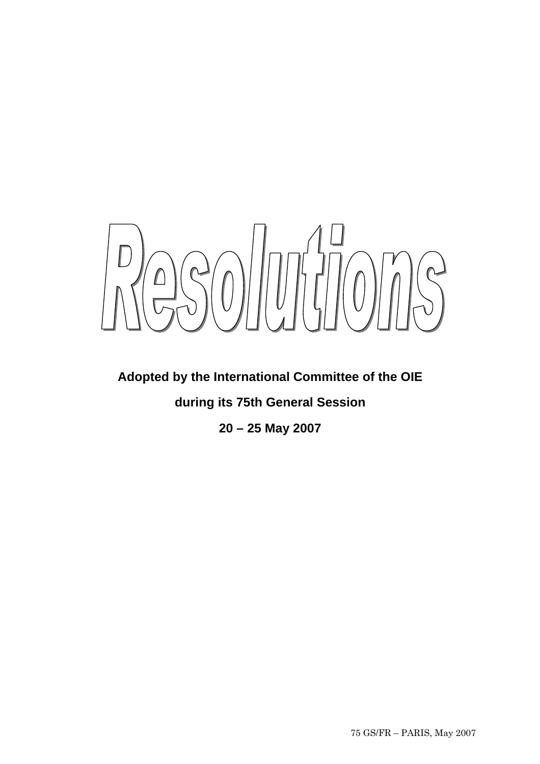

# **Adopted by the International Committee of the OIE**

**during its 75th General Session** 

**20 – 25 May 2007**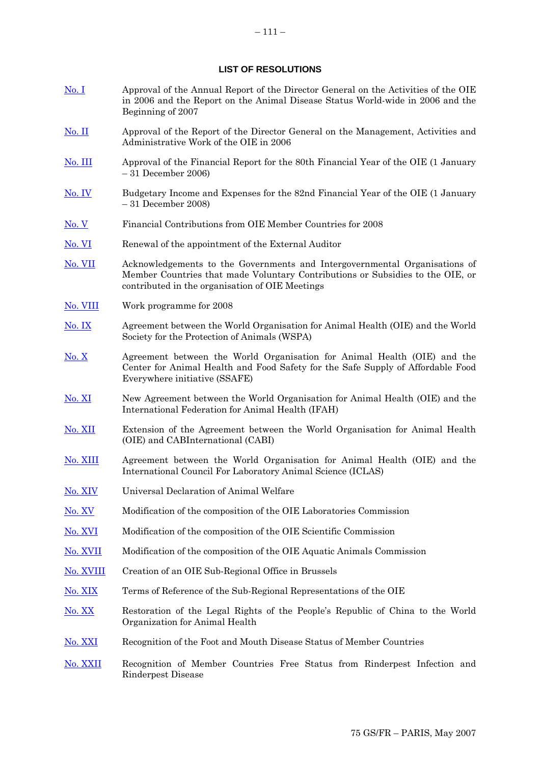### **LIST OF RESOLUTIONS**

- [No. I](#page-4-0) Approval of the Annual Report of the Director General on the Activities of the OIE in 2006 and the Report on the Animal Disease Status World-wide in 2006 and the Beginning of 2007
- [No. II](#page-5-0) Approval of the Report of the Director General on the Management, Activities and Administrative Work of the OIE in 2006
- [No. III](#page-6-0) Approval of the Financial Report for the 80th Financial Year of the OIE (1 January – 31 December 2006)
- [No. IV](#page-7-0) Budgetary Income and Expenses for the 82nd Financial Year of the OIE (1 January – 31 December 2008)
- [No. V](#page-8-0) Financial Contributions from OIE Member Countries for 2008
- [No. VI](#page-9-0) Renewal of the appointment of the External Auditor
- [No. VII](#page-10-0) Acknowledgements to the Governments and Intergovernmental Organisations of Member Countries that made Voluntary Contributions or Subsidies to the OIE, or contributed in the organisation of OIE Meetings
- [No. VIII](#page-11-0) Work programme for 2008
- [No. IX](#page-12-0) Agreement between the World Organisation for Animal Health (OIE) and the World Society for the Protection of Animals (WSPA)
- [No. X](#page-13-0) Agreement between the World Organisation for Animal Health (OIE) and the Center for Animal Health and Food Safety for the Safe Supply of Affordable Food Everywhere initiative (SSAFE)
- [No. XI](#page-14-0) New Agreement between the World Organisation for Animal Health (OIE) and the International Federation for Animal Health (IFAH)
- [No. XII](#page-15-0) Extension of the Agreement between the World Organisation for Animal Health (OIE) and CABInternational (CABI)
- [No. XIII](#page-16-0) Agreement between the World Organisation for Animal Health (OIE) and the International Council For Laboratory Animal Science (ICLAS)
- [No. XIV](#page-17-0) Universal Declaration of Animal Welfare
- [No. XV](#page-18-0) Modification of the composition of the OIE Laboratories Commission
- [No. XVI](#page-19-0) Modification of the composition of the OIE Scientific Commission
- [No. XVII](#page-20-0) Modification of the composition of the OIE Aquatic Animals Commission
- [No. XVIII](#page-21-0) Creation of an OIE Sub-Regional Office in Brussels
- [No. XIX](#page-22-0) Terms of Reference of the Sub-Regional Representations of the OIE
- [No. XX](#page-25-0) Restoration of the Legal Rights of the People's Republic of China to the World Organization for Animal Health
- [No. XXI](#page-26-0) Recognition of the Foot and Mouth Disease Status of Member Countries
- [No. XXII](#page-29-0) Recognition of Member Countries Free Status from Rinderpest Infection and Rinderpest Disease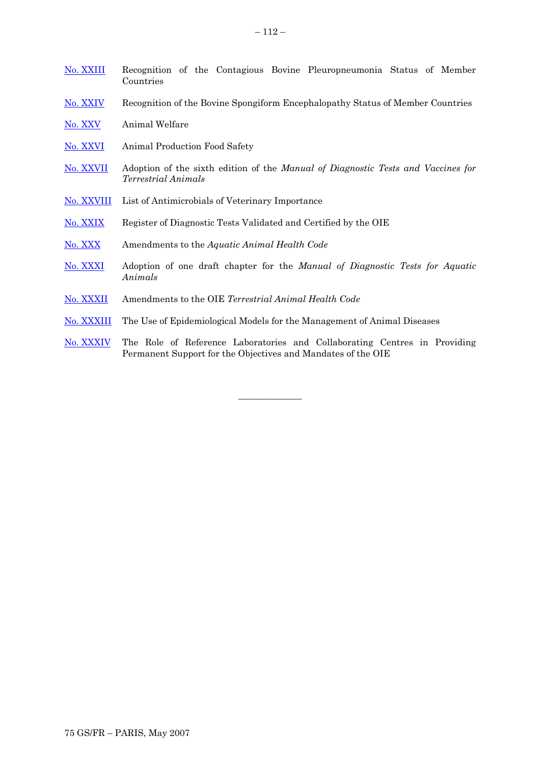| No. XXIII  | Recognition of the Contagious Bovine Pleuropneumonia Status of Member<br>Countries                                                        |  |  |
|------------|-------------------------------------------------------------------------------------------------------------------------------------------|--|--|
| No. XXIV   | Recognition of the Bovine Spongiform Encephalopathy Status of Member Countries                                                            |  |  |
| No. XXV    | Animal Welfare                                                                                                                            |  |  |
| No. XXVI   | Animal Production Food Safety                                                                                                             |  |  |
| No. XXVII  | Adoption of the sixth edition of the Manual of Diagnostic Tests and Vaccines for<br><i>Terrestrial Animals</i>                            |  |  |
| No. XXVIII | List of Antimicrobials of Veterinary Importance                                                                                           |  |  |
| No. XXIX   | Register of Diagnostic Tests Validated and Certified by the OIE                                                                           |  |  |
| No. XXX    | Amendments to the Aquatic Animal Health Code                                                                                              |  |  |
| No. XXXI   | Adoption of one draft chapter for the Manual of Diagnostic Tests for Aquatic<br>Animals                                                   |  |  |
| No. XXXII  | Amendments to the OIE Terrestrial Animal Health Code                                                                                      |  |  |
| No. XXXIII | The Use of Epidemiological Models for the Management of Animal Diseases                                                                   |  |  |
| No. XXXIV  | The Role of Reference Laboratories and Collaborating Centres in Providing<br>Permanent Support for the Objectives and Mandates of the OIE |  |  |

**\_\_\_\_\_\_\_\_\_\_\_\_\_\_**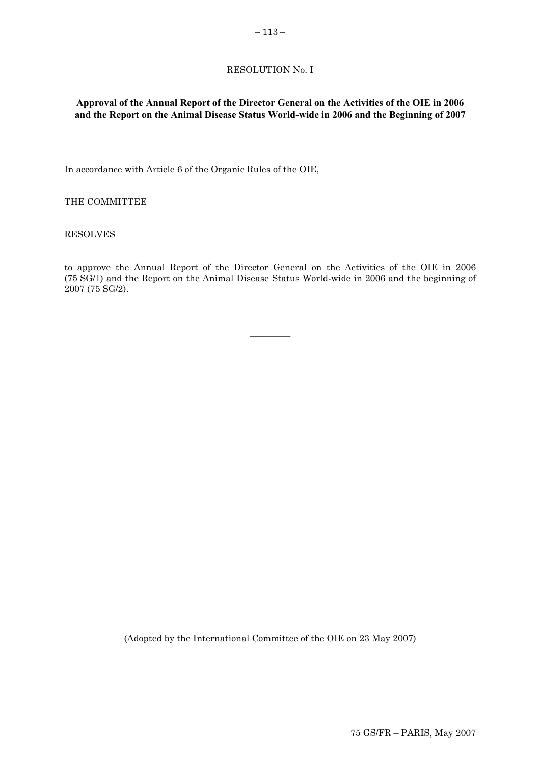# RESOLUTION No. I

# <span id="page-4-0"></span>**Approval of the Annual Report of the Director General on the Activities of the OIE in 2006 and the Report on the Animal Disease Status World-wide in 2006 and the Beginning of 2007**

In accordance with Article 6 of the Organic Rules of the OIE,

THE COMMITTEE

RESOLVES

to approve the Annual Report of the Director General on the Activities of the OIE in 2006 (75 SG/1) and the Report on the Animal Disease Status World-wide in 2006 and the beginning of 2007 (75 SG/2).

 $\overline{\phantom{a}}$   $\overline{\phantom{a}}$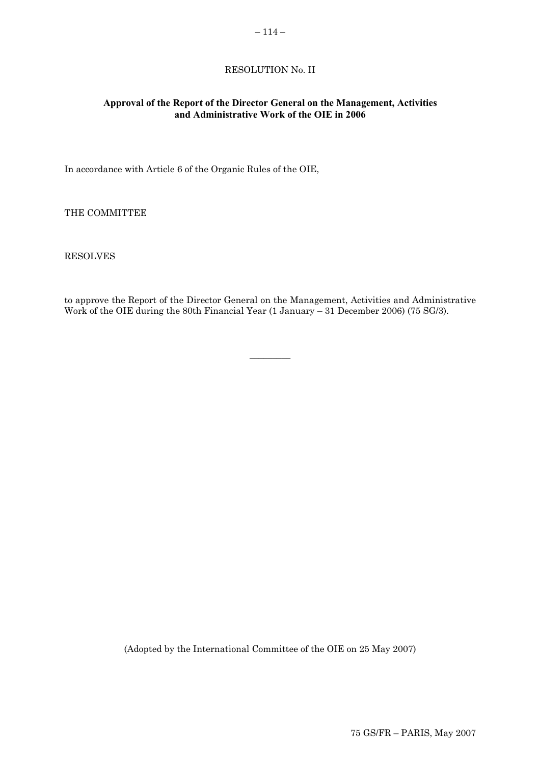### $-114-$

### RESOLUTION No. II

### <span id="page-5-0"></span>**Approval of the Report of the Director General on the Management, Activities and Administrative Work of the OIE in 2006**

In accordance with Article 6 of the Organic Rules of the OIE,

THE COMMITTEE

RESOLVES

to approve the Report of the Director General on the Management, Activities and Administrative Work of the OIE during the 80th Financial Year (1 January – 31 December 2006) (75 SG/3).

 $\overline{\phantom{a}}$   $\overline{\phantom{a}}$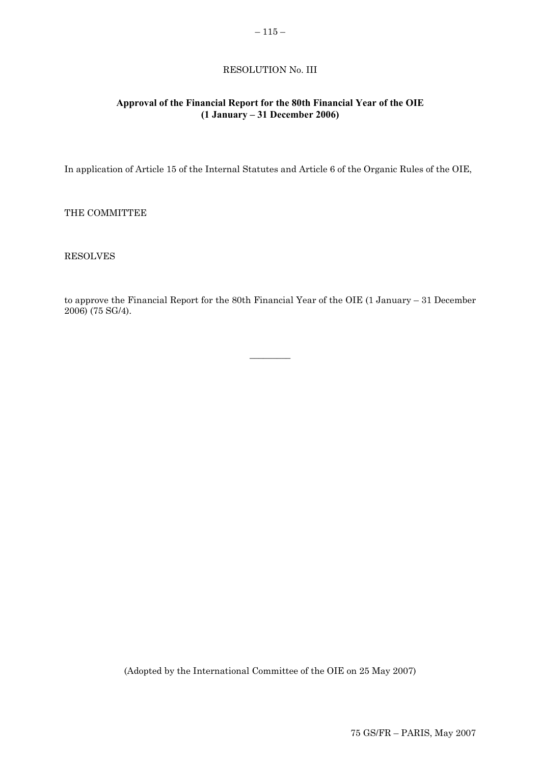# RESOLUTION No. III

# <span id="page-6-0"></span>**Approval of the Financial Report for the 80th Financial Year of the OIE (1 January – 31 December 2006)**

In application of Article 15 of the Internal Statutes and Article 6 of the Organic Rules of the OIE,

THE COMMITTEE

RESOLVES

to approve the Financial Report for the 80th Financial Year of the OIE (1 January – 31 December 2006) (75 SG/4).

 $\overline{\phantom{a}}$   $\overline{\phantom{a}}$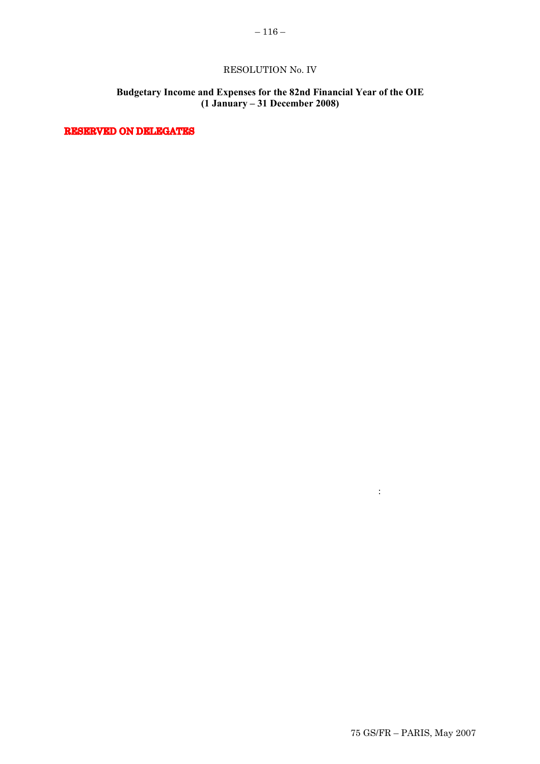# RESOLUTION No. IV

# **Budgetary Income and Expenses for the 82nd Financial Year of the OIE (1 January – 31 December 2008)**

 $2.2\pm 0.7$  The allocation of expenses among the working programmes, as follows:

<span id="page-7-0"></span>RESERVED ON DELEGATES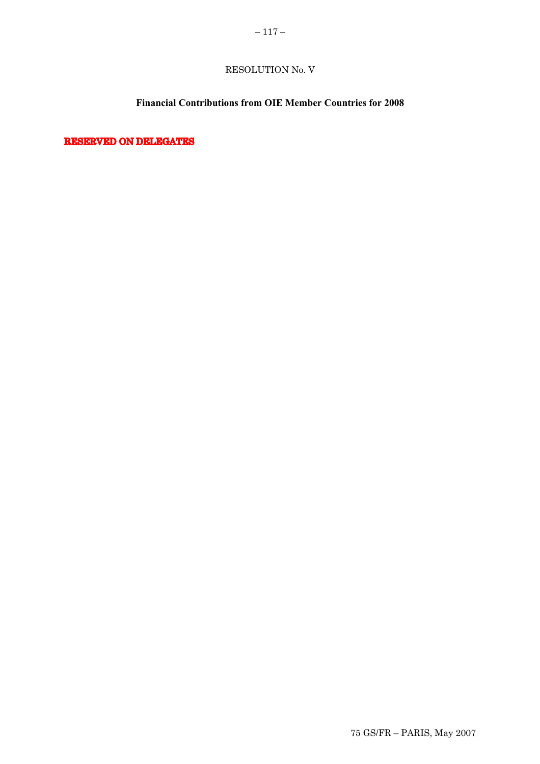# RESOLUTION No. V

# **Financial Contributions from OIE Member Countries for 2008**

<span id="page-8-0"></span>RESERVED ON DELEGATES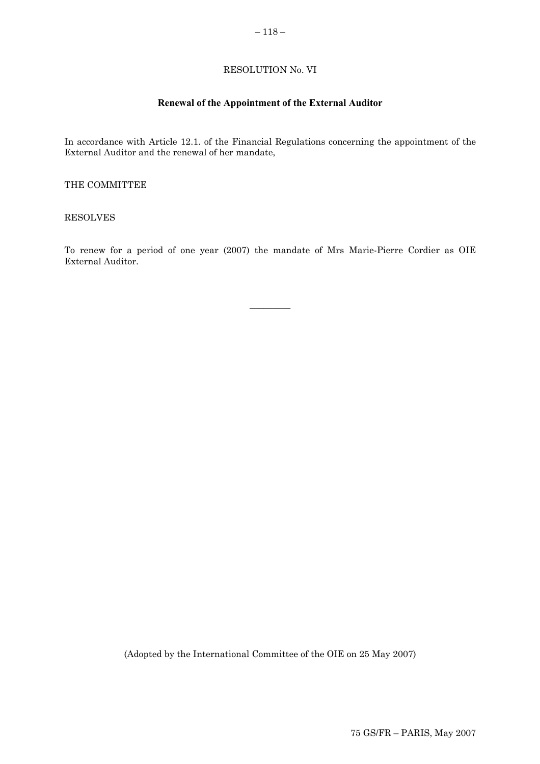# RESOLUTION No. VI

# **Renewal of the Appointment of the External Auditor**

<span id="page-9-0"></span>In accordance with Article 12.1. of the Financial Regulations concerning the appointment of the External Auditor and the renewal of her mandate,

THE COMMITTEE

RESOLVES

To renew for a period of one year (2007) the mandate of Mrs Marie-Pierre Cordier as OIE External Auditor.

 $\overline{\phantom{a}}$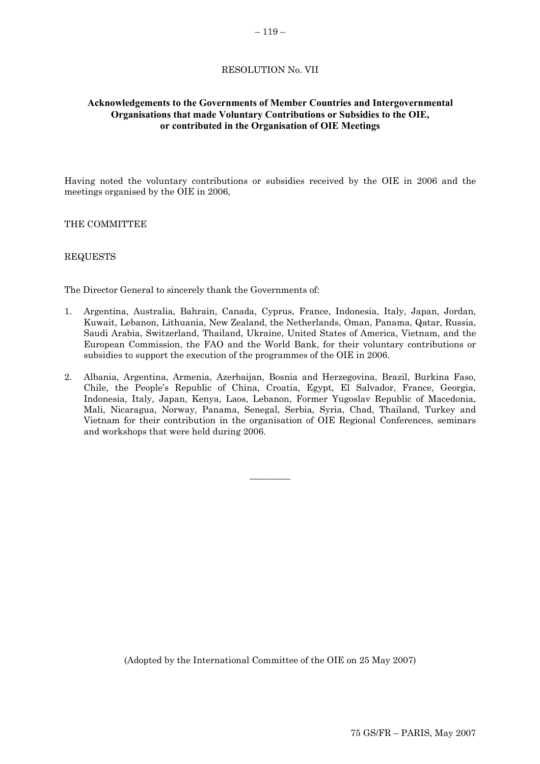### RESOLUTION No. VII

# <span id="page-10-0"></span>**Acknowledgements to the Governments of Member Countries and Intergovernmental Organisations that made Voluntary Contributions or Subsidies to the OIE, or contributed in the Organisation of OIE Meetings**

Having noted the voluntary contributions or subsidies received by the OIE in 2006 and the meetings organised by the OIE in 2006,

THE COMMITTEE

#### REQUESTS

The Director General to sincerely thank the Governments of:

- 1. Argentina, Australia, Bahrain, Canada, Cyprus, France, Indonesia, Italy, Japan, Jordan, Kuwait, Lebanon, Lithuania, New Zealand, the Netherlands, Oman, Panama, Qatar, Russia, Saudi Arabia, Switzerland, Thailand, Ukraine, United States of America, Vietnam, and the European Commission, the FAO and the World Bank, for their voluntary contributions or subsidies to support the execution of the programmes of the OIE in 2006.
- 2. Albania, Argentina, Armenia, Azerbaijan, Bosnia and Herzegovina, Brazil, Burkina Faso, Chile, the People's Republic of China, Croatia, Egypt, El Salvador, France, Georgia, Indonesia, Italy, Japan, Kenya, Laos, Lebanon, Former Yugoslav Republic of Macedonia, Mali, Nicaragua, Norway, Panama, Senegal, Serbia, Syria, Chad, Thailand, Turkey and Vietnam for their contribution in the organisation of OIE Regional Conferences, seminars and workshops that were held during 2006.

 $\overline{\phantom{a}}$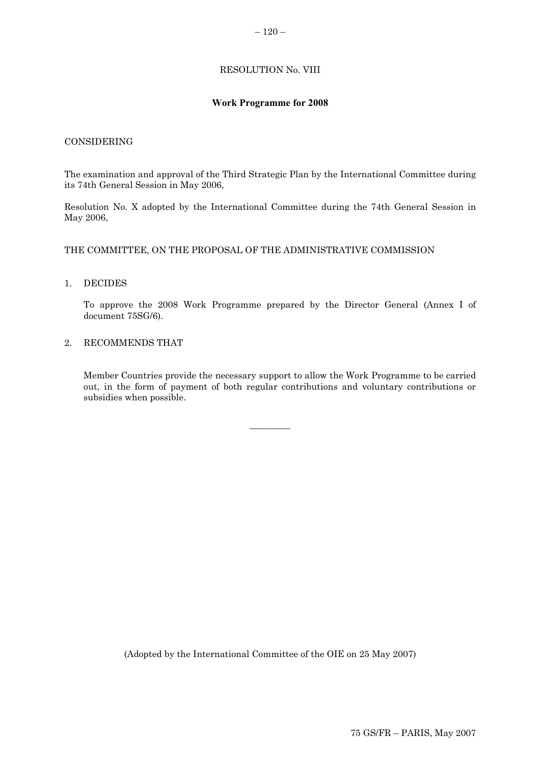# RESOLUTION No. VIII

# **Work Programme for 2008**

### <span id="page-11-0"></span>CONSIDERING

The examination and approval of the Third Strategic Plan by the International Committee during its 74th General Session in May 2006,

Resolution No. X adopted by the International Committee during the 74th General Session in May 2006,

#### THE COMMITTEE, ON THE PROPOSAL OF THE ADMINISTRATIVE COMMISSION

#### 1. DECIDES

To approve the 2008 Work Programme prepared by the Director General (Annex I of document 75SG/6).

### 2. RECOMMENDS THAT

Member Countries provide the necessary support to allow the Work Programme to be carried out, in the form of payment of both regular contributions and voluntary contributions or subsidies when possible.

 $\overline{\phantom{a}}$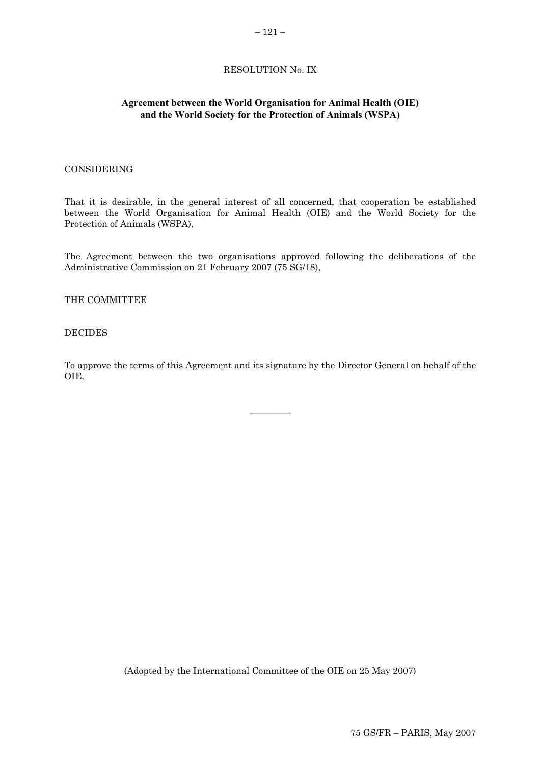# RESOLUTION No. IX

### <span id="page-12-0"></span>**Agreement between the World Organisation for Animal Health (OIE) and the World Society for the Protection of Animals (WSPA)**

### CONSIDERING

That it is desirable, in the general interest of all concerned, that cooperation be established between the World Organisation for Animal Health (OIE) and the World Society for the Protection of Animals (WSPA),

The Agreement between the two organisations approved following the deliberations of the Administrative Commission on 21 February 2007 (75 SG/18),

#### THE COMMITTEE

# DECIDES

To approve the terms of this Agreement and its signature by the Director General on behalf of the OIE.

 $\overline{\phantom{a}}$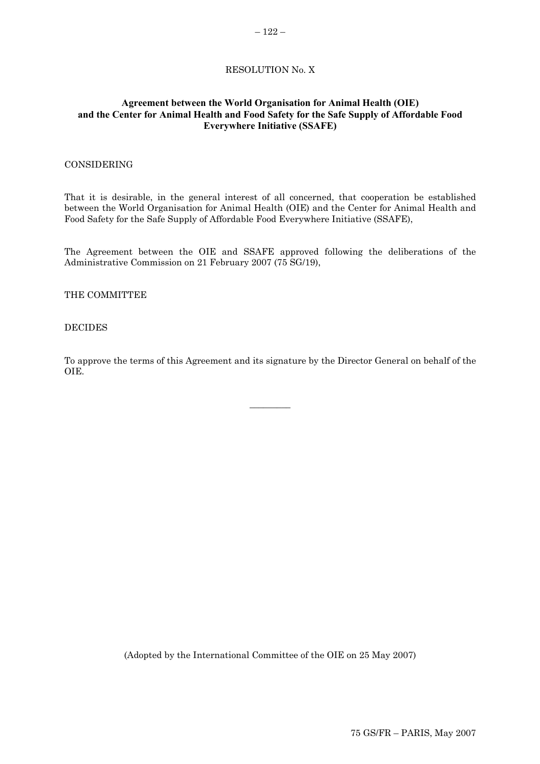### RESOLUTION No. X

# <span id="page-13-0"></span>**Agreement between the World Organisation for Animal Health (OIE) and the Center for Animal Health and Food Safety for the Safe Supply of Affordable Food Everywhere Initiative (SSAFE)**

#### CONSIDERING

That it is desirable, in the general interest of all concerned, that cooperation be established between the World Organisation for Animal Health (OIE) and the Center for Animal Health and Food Safety for the Safe Supply of Affordable Food Everywhere Initiative (SSAFE),

The Agreement between the OIE and SSAFE approved following the deliberations of the Administrative Commission on 21 February 2007 (75 SG/19),

THE COMMITTEE

#### DECIDES

To approve the terms of this Agreement and its signature by the Director General on behalf of the OIE.

 $\overline{\phantom{a}}$   $\overline{\phantom{a}}$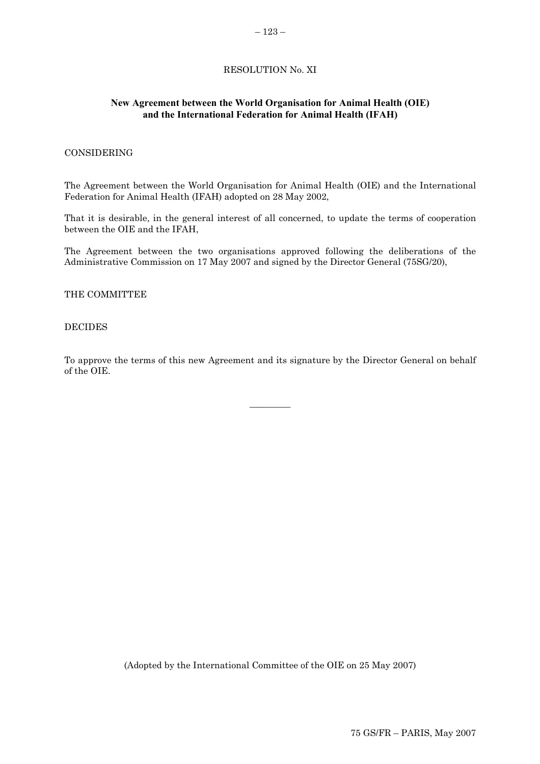# RESOLUTION No. XI

### <span id="page-14-0"></span>**New Agreement between the World Organisation for Animal Health (OIE) and the International Federation for Animal Health (IFAH)**

### CONSIDERING

The Agreement between the World Organisation for Animal Health (OIE) and the International Federation for Animal Health (IFAH) adopted on 28 May 2002,

That it is desirable, in the general interest of all concerned, to update the terms of cooperation between the OIE and the IFAH,

The Agreement between the two organisations approved following the deliberations of the Administrative Commission on 17 May 2007 and signed by the Director General (75SG/20),

THE COMMITTEE

#### DECIDES

To approve the terms of this new Agreement and its signature by the Director General on behalf of the OIE.

 $\overline{\phantom{a}}$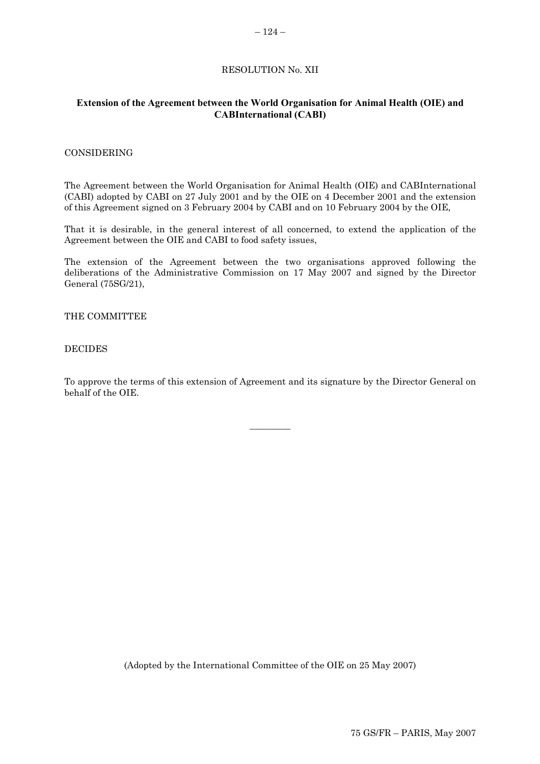# RESOLUTION No. XII

### <span id="page-15-0"></span>**Extension of the Agreement between the World Organisation for Animal Health (OIE) and CABInternational (CABI)**

### CONSIDERING

The Agreement between the World Organisation for Animal Health (OIE) and CABInternational (CABI) adopted by CABI on 27 July 2001 and by the OIE on 4 December 2001 and the extension of this Agreement signed on 3 February 2004 by CABI and on 10 February 2004 by the OIE,

That it is desirable, in the general interest of all concerned, to extend the application of the Agreement between the OIE and CABI to food safety issues,

The extension of the Agreement between the two organisations approved following the deliberations of the Administrative Commission on 17 May 2007 and signed by the Director General (75SG/21),

### THE COMMITTEE

#### DECIDES

To approve the terms of this extension of Agreement and its signature by the Director General on behalf of the OIE.

 $\overline{\phantom{a}}$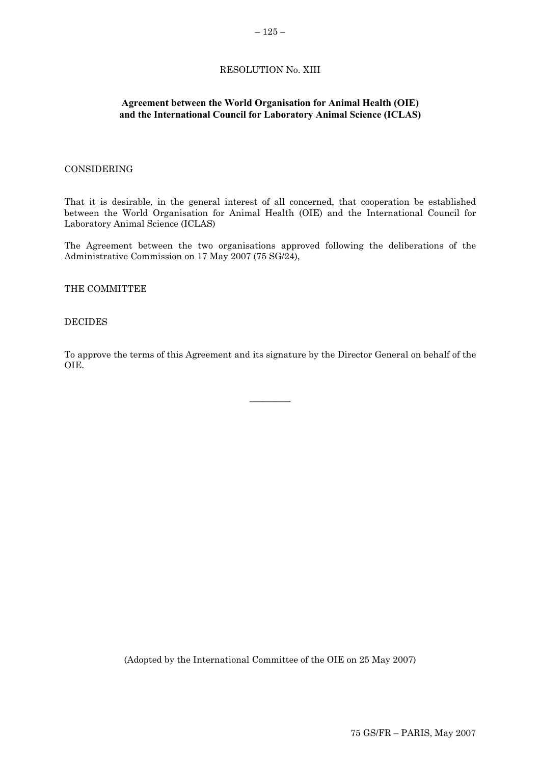### RESOLUTION No. XIII

### <span id="page-16-0"></span>**Agreement between the World Organisation for Animal Health (OIE) and the International Council for Laboratory Animal Science (ICLAS)**

### CONSIDERING

That it is desirable, in the general interest of all concerned, that cooperation be established between the World Organisation for Animal Health (OIE) and the International Council for Laboratory Animal Science (ICLAS)

The Agreement between the two organisations approved following the deliberations of the Administrative Commission on 17 May 2007 (75 SG/24),

THE COMMITTEE

#### DECIDES

To approve the terms of this Agreement and its signature by the Director General on behalf of the OIE.

 $\overline{\phantom{a}}$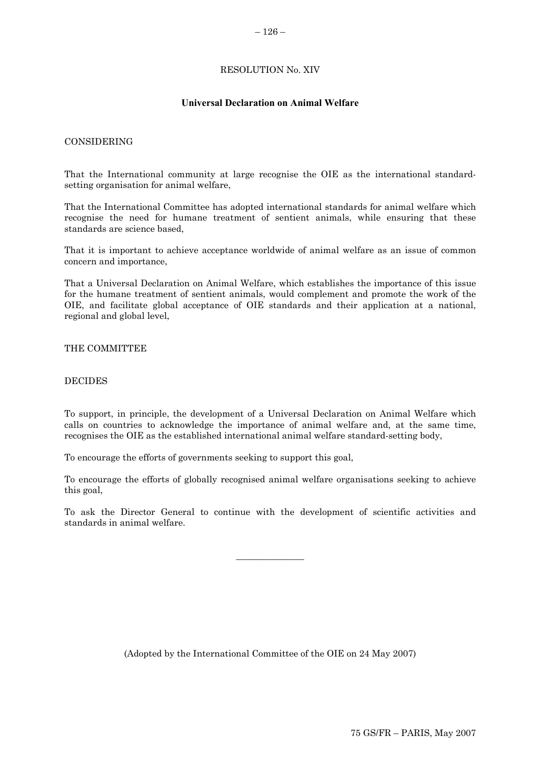### RESOLUTION No. XIV

### **Universal Declaration on Animal Welfare**

### <span id="page-17-0"></span>CONSIDERING

That the International community at large recognise the OIE as the international standardsetting organisation for animal welfare,

That the International Committee has adopted international standards for animal welfare which recognise the need for humane treatment of sentient animals, while ensuring that these standards are science based,

That it is important to achieve acceptance worldwide of animal welfare as an issue of common concern and importance,

That a Universal Declaration on Animal Welfare, which establishes the importance of this issue for the humane treatment of sentient animals, would complement and promote the work of the OIE, and facilitate global acceptance of OIE standards and their application at a national, regional and global level,

#### THE COMMITTEE

### DECIDES

To support, in principle, the development of a Universal Declaration on Animal Welfare which calls on countries to acknowledge the importance of animal welfare and, at the same time, recognises the OIE as the established international animal welfare standard-setting body,

To encourage the efforts of governments seeking to support this goal,

To encourage the efforts of globally recognised animal welfare organisations seeking to achieve this goal,

To ask the Director General to continue with the development of scientific activities and standards in animal welfare.

 $\overline{\phantom{a}}$  , where  $\overline{\phantom{a}}$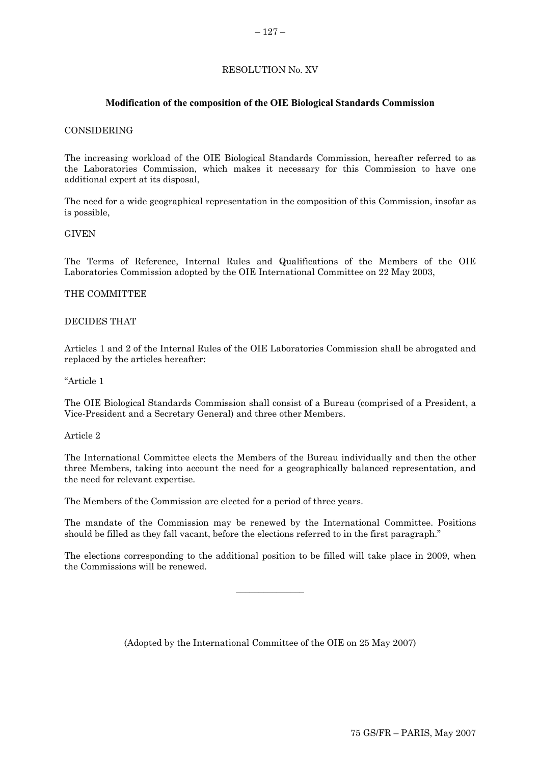# RESOLUTION No. XV

# **Modification of the composition of the OIE Biological Standards Commission**

#### <span id="page-18-0"></span>CONSIDERING

The increasing workload of the OIE Biological Standards Commission, hereafter referred to as the Laboratories Commission, which makes it necessary for this Commission to have one additional expert at its disposal,

The need for a wide geographical representation in the composition of this Commission, insofar as is possible,

#### GIVEN

The Terms of Reference, Internal Rules and Qualifications of the Members of the OIE Laboratories Commission adopted by the OIE International Committee on 22 May 2003,

### THE COMMITTEE

#### DECIDES THAT

Articles 1 and 2 of the Internal Rules of the OIE Laboratories Commission shall be abrogated and replaced by the articles hereafter:

"Article 1

The OIE Biological Standards Commission shall consist of a Bureau (comprised of a President, a Vice-President and a Secretary General) and three other Members.

Article 2

The International Committee elects the Members of the Bureau individually and then the other three Members, taking into account the need for a geographically balanced representation, and the need for relevant expertise.

The Members of the Commission are elected for a period of three years.

The mandate of the Commission may be renewed by the International Committee. Positions should be filled as they fall vacant, before the elections referred to in the first paragraph."

The elections corresponding to the additional position to be filled will take place in 2009, when the Commissions will be renewed.

 $\overline{\phantom{a}}$  ,  $\overline{\phantom{a}}$  ,  $\overline{\phantom{a}}$  ,  $\overline{\phantom{a}}$  ,  $\overline{\phantom{a}}$  ,  $\overline{\phantom{a}}$  ,  $\overline{\phantom{a}}$  ,  $\overline{\phantom{a}}$  ,  $\overline{\phantom{a}}$  ,  $\overline{\phantom{a}}$  ,  $\overline{\phantom{a}}$  ,  $\overline{\phantom{a}}$  ,  $\overline{\phantom{a}}$  ,  $\overline{\phantom{a}}$  ,  $\overline{\phantom{a}}$  ,  $\overline{\phantom{a}}$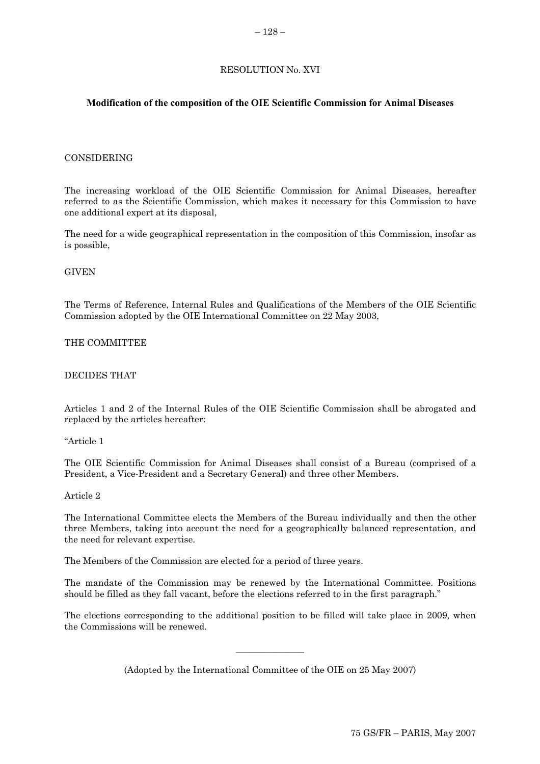### RESOLUTION No. XVI

### <span id="page-19-0"></span>**Modification of the composition of the OIE Scientific Commission for Animal Diseases**

#### CONSIDERING

The increasing workload of the OIE Scientific Commission for Animal Diseases, hereafter referred to as the Scientific Commission, which makes it necessary for this Commission to have one additional expert at its disposal,

The need for a wide geographical representation in the composition of this Commission, insofar as is possible,

#### GIVEN

The Terms of Reference, Internal Rules and Qualifications of the Members of the OIE Scientific Commission adopted by the OIE International Committee on 22 May 2003,

### THE COMMITTEE

#### DECIDES THAT

Articles 1 and 2 of the Internal Rules of the OIE Scientific Commission shall be abrogated and replaced by the articles hereafter:

"Article 1

The OIE Scientific Commission for Animal Diseases shall consist of a Bureau (comprised of a President, a Vice-President and a Secretary General) and three other Members.

#### Article 2

The International Committee elects the Members of the Bureau individually and then the other three Members, taking into account the need for a geographically balanced representation, and the need for relevant expertise.

The Members of the Commission are elected for a period of three years.

The mandate of the Commission may be renewed by the International Committee. Positions should be filled as they fall vacant, before the elections referred to in the first paragraph."

The elections corresponding to the additional position to be filled will take place in 2009, when the Commissions will be renewed.

(Adopted by the International Committee of the OIE on 25 May 2007)

 $\overline{\phantom{a}}$  ,  $\overline{\phantom{a}}$  ,  $\overline{\phantom{a}}$  ,  $\overline{\phantom{a}}$  ,  $\overline{\phantom{a}}$  ,  $\overline{\phantom{a}}$  ,  $\overline{\phantom{a}}$  ,  $\overline{\phantom{a}}$  ,  $\overline{\phantom{a}}$  ,  $\overline{\phantom{a}}$  ,  $\overline{\phantom{a}}$  ,  $\overline{\phantom{a}}$  ,  $\overline{\phantom{a}}$  ,  $\overline{\phantom{a}}$  ,  $\overline{\phantom{a}}$  ,  $\overline{\phantom{a}}$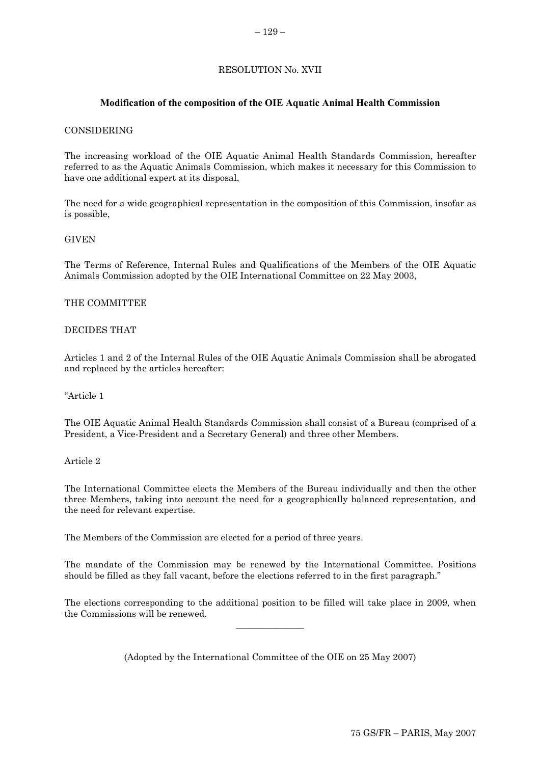# RESOLUTION No. XVII

# <span id="page-20-0"></span>**Modification of the composition of the OIE Aquatic Animal Health Commission**

### CONSIDERING

The increasing workload of the OIE Aquatic Animal Health Standards Commission, hereafter referred to as the Aquatic Animals Commission, which makes it necessary for this Commission to have one additional expert at its disposal,

The need for a wide geographical representation in the composition of this Commission, insofar as is possible,

### GIVEN

The Terms of Reference, Internal Rules and Qualifications of the Members of the OIE Aquatic Animals Commission adopted by the OIE International Committee on 22 May 2003,

### THE COMMITTEE

### DECIDES THAT

Articles 1 and 2 of the Internal Rules of the OIE Aquatic Animals Commission shall be abrogated and replaced by the articles hereafter:

#### "Article 1

The OIE Aquatic Animal Health Standards Commission shall consist of a Bureau (comprised of a President, a Vice-President and a Secretary General) and three other Members.

### Article 2

The International Committee elects the Members of the Bureau individually and then the other three Members, taking into account the need for a geographically balanced representation, and the need for relevant expertise.

The Members of the Commission are elected for a period of three years.

The mandate of the Commission may be renewed by the International Committee. Positions should be filled as they fall vacant, before the elections referred to in the first paragraph."

The elections corresponding to the additional position to be filled will take place in 2009, when the Commissions will be renewed.  $\overline{\phantom{a}}$  , where  $\overline{\phantom{a}}$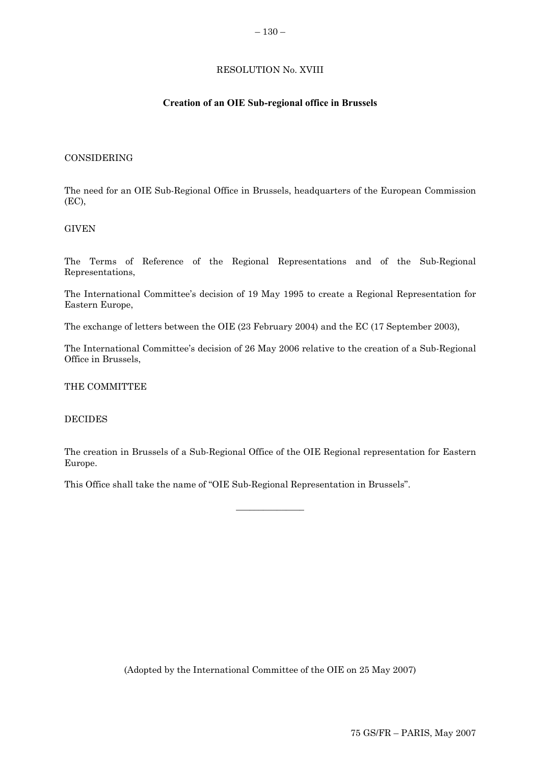### RESOLUTION No. XVIII

### **Creation of an OIE Sub-regional office in Brussels**

#### <span id="page-21-0"></span>CONSIDERING

The need for an OIE Sub-Regional Office in Brussels, headquarters of the European Commission (EC),

### GIVEN

The Terms of Reference of the Regional Representations and of the Sub-Regional Representations,

The International Committee's decision of 19 May 1995 to create a Regional Representation for Eastern Europe,

The exchange of letters between the OIE (23 February 2004) and the EC (17 September 2003),

The International Committee's decision of 26 May 2006 relative to the creation of a Sub-Regional Office in Brussels,

#### THE COMMITTEE

#### DECIDES

The creation in Brussels of a Sub-Regional Office of the OIE Regional representation for Eastern Europe.

 $\overline{\phantom{a}}$  , where  $\overline{\phantom{a}}$ 

This Office shall take the name of "OIE Sub-Regional Representation in Brussels".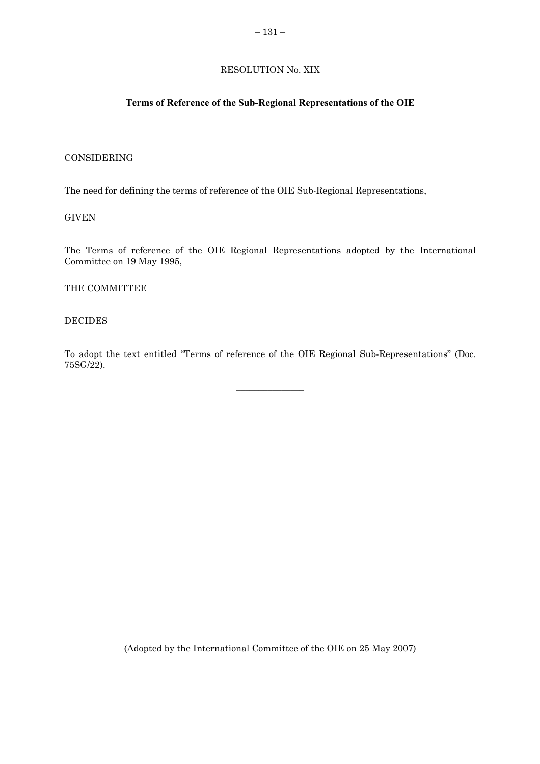# RESOLUTION No. XIX

# <span id="page-22-0"></span>**Terms of Reference of the Sub-Regional Representations of the OIE**

### CONSIDERING

The need for defining the terms of reference of the OIE Sub-Regional Representations,

**GIVEN** 

The Terms of reference of the OIE Regional Representations adopted by the International Committee on 19 May 1995,

THE COMMITTEE

#### DECIDES

To adopt the text entitled "Terms of reference of the OIE Regional Sub-Representations" (Doc. 75SG/22).

 $\overline{\phantom{a}}$  ,  $\overline{\phantom{a}}$  ,  $\overline{\phantom{a}}$  ,  $\overline{\phantom{a}}$  ,  $\overline{\phantom{a}}$  ,  $\overline{\phantom{a}}$  ,  $\overline{\phantom{a}}$  ,  $\overline{\phantom{a}}$  ,  $\overline{\phantom{a}}$  ,  $\overline{\phantom{a}}$  ,  $\overline{\phantom{a}}$  ,  $\overline{\phantom{a}}$  ,  $\overline{\phantom{a}}$  ,  $\overline{\phantom{a}}$  ,  $\overline{\phantom{a}}$  ,  $\overline{\phantom{a}}$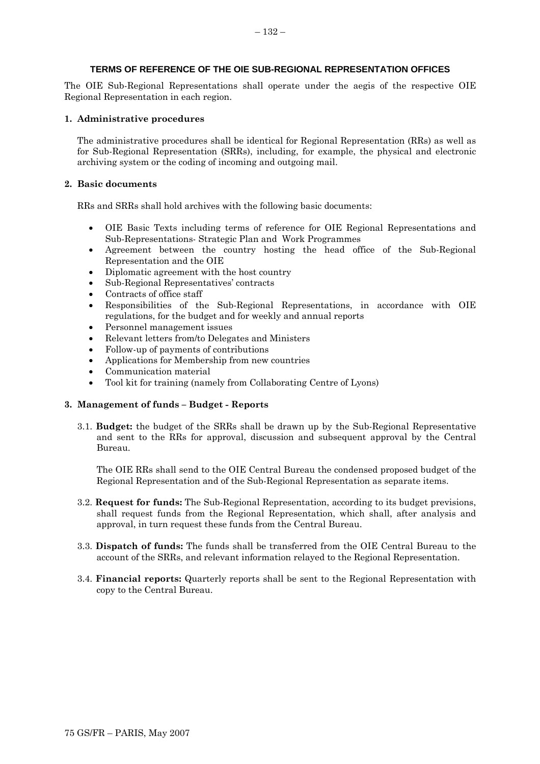### **TERMS OF REFERENCE OF THE OIE SUB-REGIONAL REPRESENTATION OFFICES**

The OIE Sub-Regional Representations shall operate under the aegis of the respective OIE Regional Representation in each region.

#### **1. Administrative procedures**

The administrative procedures shall be identical for Regional Representation (RRs) as well as for Sub-Regional Representation (SRRs), including, for example, the physical and electronic archiving system or the coding of incoming and outgoing mail.

#### **2. Basic documents**

RRs and SRRs shall hold archives with the following basic documents:

- OIE Basic Texts including terms of reference for OIE Regional Representations and Sub-Representations- Strategic Plan and Work Programmes
- Agreement between the country hosting the head office of the Sub-Regional Representation and the OIE
- Diplomatic agreement with the host country
- Sub-Regional Representatives' contracts
- Contracts of office staff
- Responsibilities of the Sub-Regional Representations, in accordance with OIE regulations, for the budget and for weekly and annual reports
- Personnel management issues
- Relevant letters from/to Delegates and Ministers
- Follow-up of payments of contributions
- Applications for Membership from new countries
- Communication material
- Tool kit for training (namely from Collaborating Centre of Lyons)

#### **3. Management of funds – Budget - Reports**

3.1. **Budget:** the budget of the SRRs shall be drawn up by the Sub-Regional Representative and sent to the RRs for approval, discussion and subsequent approval by the Central Bureau.

The OIE RRs shall send to the OIE Central Bureau the condensed proposed budget of the Regional Representation and of the Sub-Regional Representation as separate items.

- 3.2. **Request for funds:** The Sub-Regional Representation, according to its budget previsions, shall request funds from the Regional Representation, which shall, after analysis and approval, in turn request these funds from the Central Bureau.
- 3.3. **Dispatch of funds:** The funds shall be transferred from the OIE Central Bureau to the account of the SRRs, and relevant information relayed to the Regional Representation.
- 3.4. **Financial reports:** Quarterly reports shall be sent to the Regional Representation with copy to the Central Bureau.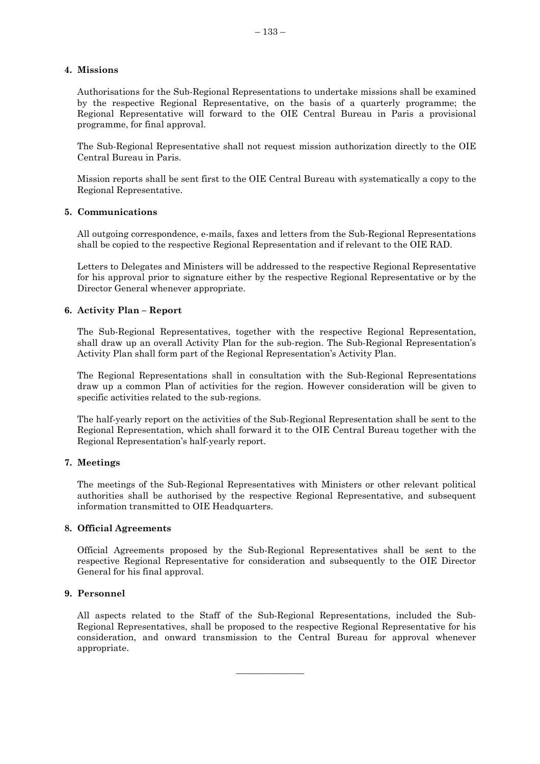### **4. Missions**

Authorisations for the Sub-Regional Representations to undertake missions shall be examined by the respective Regional Representative, on the basis of a quarterly programme; the Regional Representative will forward to the OIE Central Bureau in Paris a provisional programme, for final approval.

The Sub-Regional Representative shall not request mission authorization directly to the OIE Central Bureau in Paris.

Mission reports shall be sent first to the OIE Central Bureau with systematically a copy to the Regional Representative.

#### **5. Communications**

All outgoing correspondence, e-mails, faxes and letters from the Sub-Regional Representations shall be copied to the respective Regional Representation and if relevant to the OIE RAD.

Letters to Delegates and Ministers will be addressed to the respective Regional Representative for his approval prior to signature either by the respective Regional Representative or by the Director General whenever appropriate.

# **6. Activity Plan – Report**

The Sub-Regional Representatives, together with the respective Regional Representation, shall draw up an overall Activity Plan for the sub-region. The Sub-Regional Representation's Activity Plan shall form part of the Regional Representation's Activity Plan.

The Regional Representations shall in consultation with the Sub-Regional Representations draw up a common Plan of activities for the region. However consideration will be given to specific activities related to the sub-regions.

The half-yearly report on the activities of the Sub-Regional Representation shall be sent to the Regional Representation, which shall forward it to the OIE Central Bureau together with the Regional Representation's half-yearly report.

# **7. Meetings**

The meetings of the Sub-Regional Representatives with Ministers or other relevant political authorities shall be authorised by the respective Regional Representative, and subsequent information transmitted to OIE Headquarters.

#### **8. Official Agreements**

Official Agreements proposed by the Sub-Regional Representatives shall be sent to the respective Regional Representative for consideration and subsequently to the OIE Director General for his final approval.

# **9. Personnel**

All aspects related to the Staff of the Sub-Regional Representations, included the Sub-Regional Representatives, shall be proposed to the respective Regional Representative for his consideration, and onward transmission to the Central Bureau for approval whenever appropriate.

 $\overline{\phantom{a}}$  ,  $\overline{\phantom{a}}$  ,  $\overline{\phantom{a}}$  ,  $\overline{\phantom{a}}$  ,  $\overline{\phantom{a}}$  ,  $\overline{\phantom{a}}$  ,  $\overline{\phantom{a}}$  ,  $\overline{\phantom{a}}$  ,  $\overline{\phantom{a}}$  ,  $\overline{\phantom{a}}$  ,  $\overline{\phantom{a}}$  ,  $\overline{\phantom{a}}$  ,  $\overline{\phantom{a}}$  ,  $\overline{\phantom{a}}$  ,  $\overline{\phantom{a}}$  ,  $\overline{\phantom{a}}$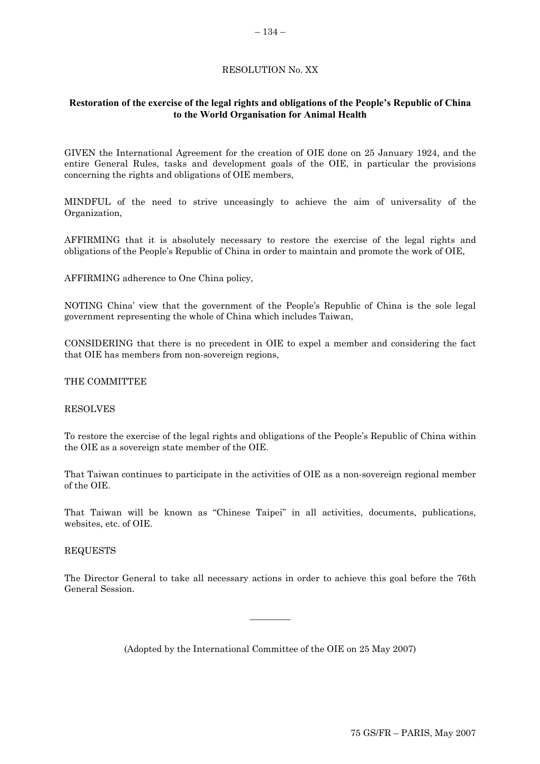# RESOLUTION No. XX

# <span id="page-25-0"></span>**Restoration of the exercise of the legal rights and obligations of the People's Republic of China to the World Organisation for Animal Health**

GIVEN the International Agreement for the creation of OIE done on 25 January 1924, and the entire General Rules, tasks and development goals of the OIE, in particular the provisions concerning the rights and obligations of OIE members,

MINDFUL of the need to strive unceasingly to achieve the aim of universality of the Organization,

AFFIRMING that it is absolutely necessary to restore the exercise of the legal rights and obligations of the People's Republic of China in order to maintain and promote the work of OIE,

AFFIRMING adherence to One China policy,

NOTING China' view that the government of the People's Republic of China is the sole legal government representing the whole of China which includes Taiwan,

CONSIDERING that there is no precedent in OIE to expel a member and considering the fact that OIE has members from non-sovereign regions,

#### THE COMMITTEE

#### RESOLVES

To restore the exercise of the legal rights and obligations of the People's Republic of China within the OIE as a sovereign state member of the OIE.

That Taiwan continues to participate in the activities of OIE as a non-sovereign regional member of the OIE.

That Taiwan will be known as "Chinese Taipei" in all activities, documents, publications, websites, etc. of OIE.

### REQUESTS

The Director General to take all necessary actions in order to achieve this goal before the 76th General Session.

(Adopted by the International Committee of the OIE on 25 May 2007)

 $\overline{\phantom{a}}$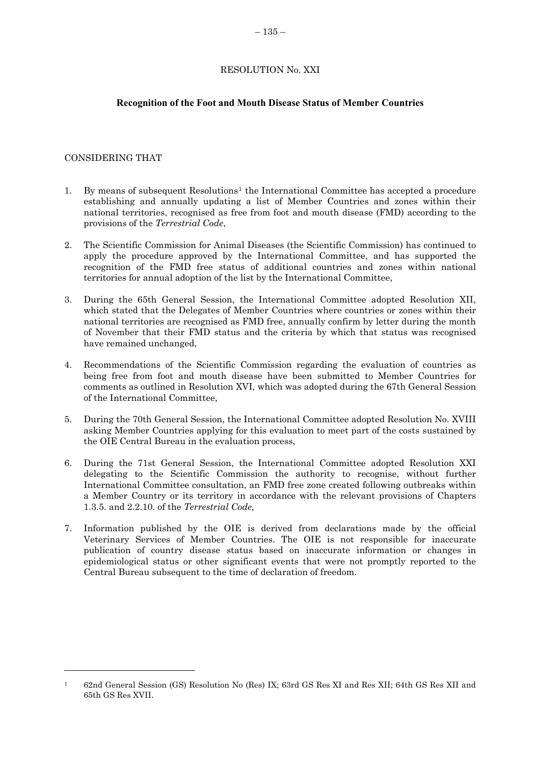### RESOLUTION No. XXI

### <span id="page-26-0"></span>**Recognition of the Foot and Mouth Disease Status of Member Countries**

### CONSIDERING THAT

l

- 1. By means of subsequent Resolutions[1](#page-26-0) the International Committee has accepted a procedure establishing and annually updating a list of Member Countries and zones within their national territories, recognised as free from foot and mouth disease (FMD) according to the provisions of the *Terrestrial Code*,
- 2. The Scientific Commission for Animal Diseases (the Scientific Commission) has continued to apply the procedure approved by the International Committee, and has supported the recognition of the FMD free status of additional countries and zones within national territories for annual adoption of the list by the International Committee,
- 3. During the 65th General Session, the International Committee adopted Resolution XII, which stated that the Delegates of Member Countries where countries or zones within their national territories are recognised as FMD free, annually confirm by letter during the month of November that their FMD status and the criteria by which that status was recognised have remained unchanged,
- 4. Recommendations of the Scientific Commission regarding the evaluation of countries as being free from foot and mouth disease have been submitted to Member Countries for comments as outlined in Resolution XVI, which was adopted during the 67th General Session of the International Committee,
- 5. During the 70th General Session, the International Committee adopted Resolution No. XVIII asking Member Countries applying for this evaluation to meet part of the costs sustained by the OIE Central Bureau in the evaluation process,
- 6. During the 71st General Session, the International Committee adopted Resolution XXI delegating to the Scientific Commission the authority to recognise, without further International Committee consultation, an FMD free zone created following outbreaks within a Member Country or its territory in accordance with the relevant provisions of Chapters 1.3.5. and 2.2.10. of the *Terrestrial Code,*
- 7. Information published by the OIE is derived from declarations made by the official Veterinary Services of Member Countries. The OIE is not responsible for inaccurate publication of country disease status based on inaccurate information or changes in epidemiological status or other significant events that were not promptly reported to the Central Bureau subsequent to the time of declaration of freedom.

<sup>1 62</sup>nd General Session (GS) Resolution No (Res) IX; 63rd GS Res XI and Res XII; 64th GS Res XII and 65th GS Res XVII.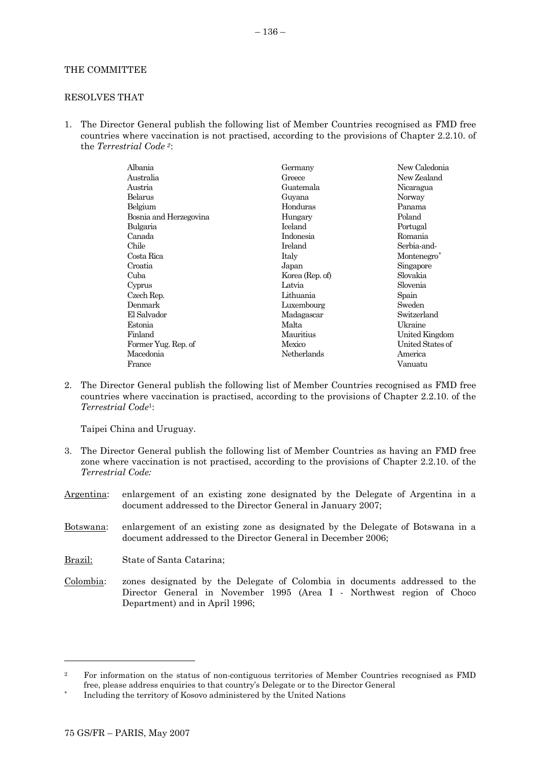#### <span id="page-27-0"></span>THE COMMITTEE

#### RESOLVES THAT

1. The Director General publish the following list of Member Countries recognised as FMD free countries where vaccination is not practised, according to the provisions of Chapter 2.2.10. of the *Terrestrial Code [2](#page-27-0)*:

| Albania                | Germany         | New Caledonia           |
|------------------------|-----------------|-------------------------|
| Australia              | Greece          | New Zealand             |
| Austria                | Guatemala       | Nicaragua               |
| Belarus                | Guyana          | Norway                  |
| Belgium                | Honduras        | Panama                  |
| Bosnia and Herzegovina | Hungary         | Poland                  |
| Bulgaria               | <b>Iceland</b>  | Portugal                |
| Canada                 | Indonesia       | Romania                 |
| Chile                  | Ireland         | Serbia-and-             |
| Costa Rica             | Italy           | Montenegro <sup>*</sup> |
| Croatia                | Japan           | Singapore               |
| Cuba                   | Korea (Rep. of) | Slovakia                |
| Cyprus                 | Latvia          | Slovenia                |
| Czech Rep.             | Lithuania       | Spain                   |
| Denmark                | Luxembourg      | Sweden                  |
| El Salvador            | Madagascar      | Switzerland             |
| Estonia                | Malta           | Ukraine                 |
| Finland                | Mauritius       | United Kingdom          |
| Former Yug. Rep. of    | Mexico          | United States of        |
| Macedonia              | Netherlands     | America                 |
| France                 |                 | Vanuatu                 |
|                        |                 |                         |

2. The Director General publish the following list of Member Countries recognised as FMD free countries where vaccination is practised, according to the provisions of Chapter 2.2.10. of the *Terrestrial Code*1:

Taipei China and Uruguay.

- 3. The Director General publish the following list of Member Countries as having an FMD free zone where vaccination is not practised, according to the provisions of Chapter 2.2.10. of the *Terrestrial Code:*
- Argentina: enlargement of an existing zone designated by the Delegate of Argentina in a document addressed to the Director General in January 2007;
- Botswana: enlargement of an existing zone as designated by the Delegate of Botswana in a document addressed to the Director General in December 2006;
- Brazil: State of Santa Catarina;
- Colombia: zones designated by the Delegate of Colombia in documents addressed to the Director General in November 1995 (Area I - Northwest region of Choco Department) and in April 1996;

l

<sup>&</sup>lt;sup>2</sup> For information on the status of non-contiguous territories of Member Countries recognised as FMD free, please address enquiries to that country's Delegate or to the Director General Including the territory of Kosovo administered by the United Nations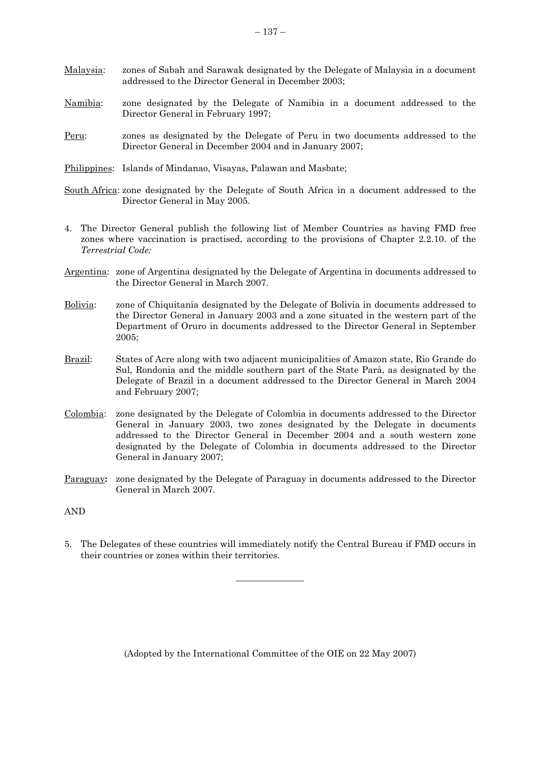- Malaysia: zones of Sabah and Sarawak designated by the Delegate of Malaysia in a document addressed to the Director General in December 2003;
- Namibia: zone designated by the Delegate of Namibia in a document addressed to the Director General in February 1997;
- Peru: zones as designated by the Delegate of Peru in two documents addressed to the Director General in December 2004 and in January 2007;
- Philippines: Islands of Mindanao, Visayas, Palawan and Masbate;
- South Africa: zone designated by the Delegate of South Africa in a document addressed to the Director General in May 2005.
- 4. The Director General publish the following list of Member Countries as having FMD free zones where vaccination is practised, according to the provisions of Chapter 2.2.10. of the *Terrestrial Code:*
- Argentina: zone of Argentina designated by the Delegate of Argentina in documents addressed to the Director General in March 2007.
- Bolivia: zone of Chiquitania designated by the Delegate of Bolivia in documents addressed to the Director General in January 2003 and a zone situated in the western part of the Department of Oruro in documents addressed to the Director General in September 2005;
- Brazil: States of Acre along with two adjacent municipalities of Amazon state, Rio Grande do Sul, Rondonia and the middle southern part of the State Parà, as designated by the Delegate of Brazil in a document addressed to the Director General in March 2004 and February 2007;
- Colombia: zone designated by the Delegate of Colombia in documents addressed to the Director General in January 2003, two zones designated by the Delegate in documents addressed to the Director General in December 2004 and a south western zone designated by the Delegate of Colombia in documents addressed to the Director General in January 2007;
- Paraguay**:** zone designated by the Delegate of Paraguay in documents addressed to the Director General in March 2007.
- AND
- 5. The Delegates of these countries will immediately notify the Central Bureau if FMD occurs in their countries or zones within their territories.

 $\overline{\phantom{a}}$  , where  $\overline{\phantom{a}}$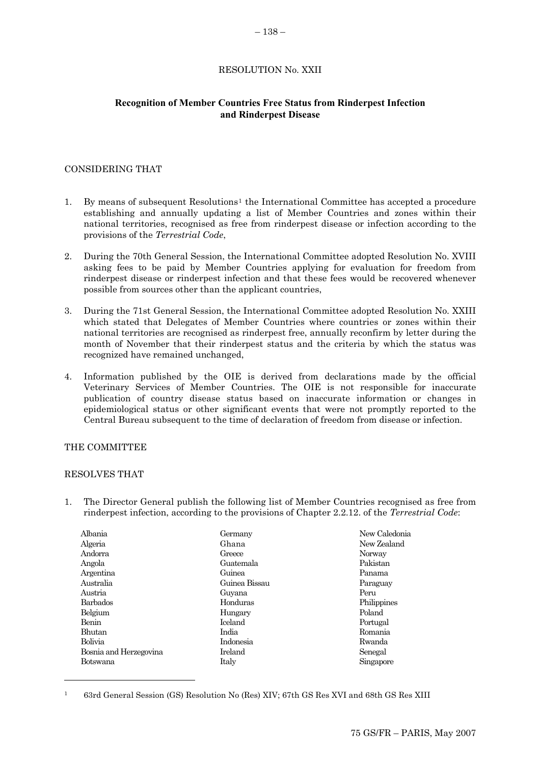### RESOLUTION No. XXII

### <span id="page-29-0"></span>**Recognition of Member Countries Free Status from Rinderpest Infection and Rinderpest Disease**

#### CONSIDERING THAT

- [1](#page-29-0). By means of subsequent Resolutions<sup>1</sup> the International Committee has accepted a procedure establishing and annually updating a list of Member Countries and zones within their national territories, recognised as free from rinderpest disease or infection according to the provisions of the *Terrestrial Code*,
- 2. During the 70th General Session, the International Committee adopted Resolution No. XVIII asking fees to be paid by Member Countries applying for evaluation for freedom from rinderpest disease or rinderpest infection and that these fees would be recovered whenever possible from sources other than the applicant countries,
- 3. During the 71st General Session, the International Committee adopted Resolution No. XXIII which stated that Delegates of Member Countries where countries or zones within their national territories are recognised as rinderpest free, annually reconfirm by letter during the month of November that their rinderpest status and the criteria by which the status was recognized have remained unchanged,
- 4. Information published by the OIE is derived from declarations made by the official Veterinary Services of Member Countries. The OIE is not responsible for inaccurate publication of country disease status based on inaccurate information or changes in epidemiological status or other significant events that were not promptly reported to the Central Bureau subsequent to the time of declaration of freedom from disease or infection.

### THE COMMITTEE

#### RESOLVES THAT

l

1. The Director General publish the following list of Member Countries recognised as free from rinderpest infection, according to the provisions of Chapter 2.2.12. of the *Terrestrial Code*:

| Albania                | Germany        | New Caledonia |
|------------------------|----------------|---------------|
| Algeria                | Ghana          | New Zealand   |
| Andorra                | Greece         | Norway        |
| Angola                 | Guatemala      | Pakistan      |
| Argentina              | Guinea         | Panama        |
| Australia              | Guinea Bissau  | Paraguay      |
| Austria                | Guyana         | Peru          |
| Barbados               | Honduras       | Philippines   |
| Belgium                | Hungary        | Poland        |
| Benin                  | <b>Iceland</b> | Portugal      |
| <b>Bhutan</b>          | India          | Romania       |
| Bolivia                | Indonesia      | Rwanda        |
| Bosnia and Herzegovina | Ireland        | Senegal       |
| Botswana               | Italy          | Singapore     |

<sup>1 63</sup>rd General Session (GS) Resolution No (Res) XIV; 67th GS Res XVI and 68th GS Res XIII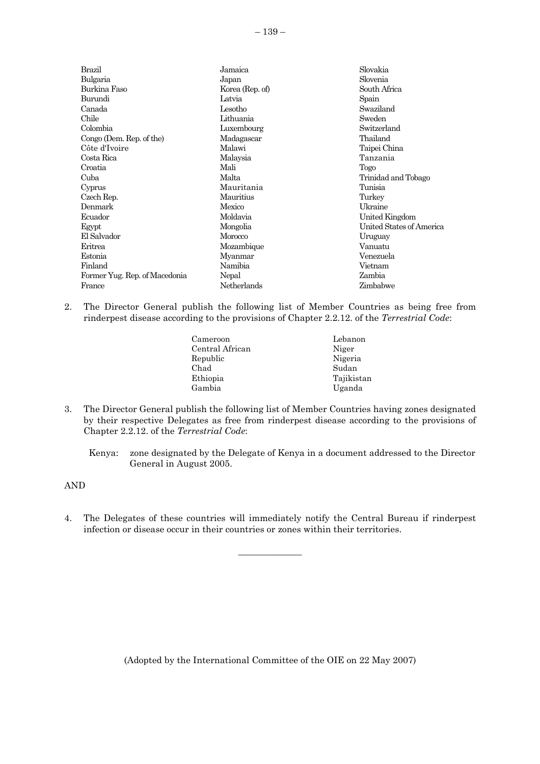Brazil Bulgaria Burkina Faso Burundi Canada Chile Colombia Congo (Dem. Rep. of the) Côte d'Ivoire Costa Rica Croatia Cuba Cyprus Czech Rep. Denmark Ecuador Egypt El Salvador Eritrea Estonia Finland Former Yug. Rep. of Macedonia France Jamaica Japan Korea (Rep. of) Latvia Lesotho Lithuania Luxembourg Madagascar Malawi Malaysia Mali Malta Mauritania Mauritius **Mexico** Moldavia Mongolia Morocco Mozambique Myanmar Namibia **Nepal** Netherlands Slovakia Slovenia South Africa Spain Swaziland Sweden Switzerland Thailand Taipei China Tanzania Togo Trinidad and Tobago Tunisia **Turkey** Ukraine United Kingdom United States of America Uruguay Vanuatu Venezuela Vietnam Zambia Zimbabwe

- 2. The Director General publish the following list of Member Countries as being free from rinderpest disease according to the provisions of Chapter 2.2.12. of the *Terrestrial Code*:
	- Cameroon Central African Republic Chad Ethiopia Gambia Lebanon Niger Nigeria Sudan Tajikistan Uganda
- 3. The Director General publish the following list of Member Countries having zones designated by their respective Delegates as free from rinderpest disease according to the provisions of Chapter 2.2.12. of the *Terrestrial Code*:

Kenya: zone designated by the Delegate of Kenya in a document addressed to the Director General in August 2005.

AND

4. The Delegates of these countries will immediately notify the Central Bureau if rinderpest infection or disease occur in their countries or zones within their territories.

 $\overline{\phantom{a}}$  , where  $\overline{\phantom{a}}$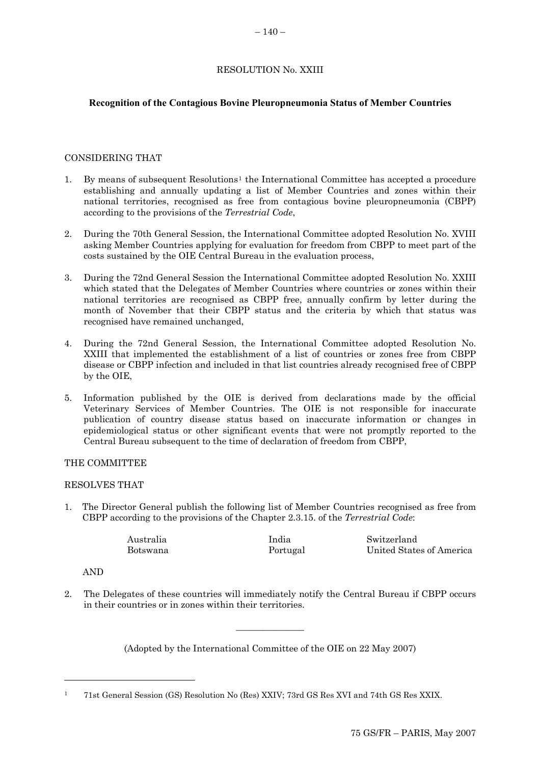# RESOLUTION No. XXIII

# <span id="page-31-0"></span>**Recognition of the Contagious Bovine Pleuropneumonia Status of Member Countries**

# CONSIDERING THAT

- 1. By means of subsequent Resolutions[1](#page-31-0) the International Committee has accepted a procedure establishing and annually updating a list of Member Countries and zones within their national territories, recognised as free from contagious bovine pleuropneumonia (CBPP) according to the provisions of the *Terrestrial Code*,
- 2. During the 70th General Session, the International Committee adopted Resolution No. XVIII asking Member Countries applying for evaluation for freedom from CBPP to meet part of the costs sustained by the OIE Central Bureau in the evaluation process,
- 3. During the 72nd General Session the International Committee adopted Resolution No. XXIII which stated that the Delegates of Member Countries where countries or zones within their national territories are recognised as CBPP free, annually confirm by letter during the month of November that their CBPP status and the criteria by which that status was recognised have remained unchanged,
- 4. During the 72nd General Session, the International Committee adopted Resolution No. XXIII that implemented the establishment of a list of countries or zones free from CBPP disease or CBPP infection and included in that list countries already recognised free of CBPP by the OIE,
- 5. Information published by the OIE is derived from declarations made by the official Veterinary Services of Member Countries. The OIE is not responsible for inaccurate publication of country disease status based on inaccurate information or changes in epidemiological status or other significant events that were not promptly reported to the Central Bureau subsequent to the time of declaration of freedom from CBPP,

# THE COMMITTEE

### RESOLVES THAT

1. The Director General publish the following list of Member Countries recognised as free from CBPP according to the provisions of the Chapter 2.3.15. of the *Terrestrial Code*:

| Australia | India    | Switzerland              |
|-----------|----------|--------------------------|
| Botswana  | Portugal | United States of America |

AND

l

2. The Delegates of these countries will immediately notify the Central Bureau if CBPP occurs in their countries or in zones within their territories.

(Adopted by the International Committee of the OIE on 22 May 2007)

 $\overline{\phantom{a}}$  , where  $\overline{\phantom{a}}$ 

<sup>1 71</sup>st General Session (GS) Resolution No (Res) XXIV; 73rd GS Res XVI and 74th GS Res XXIX.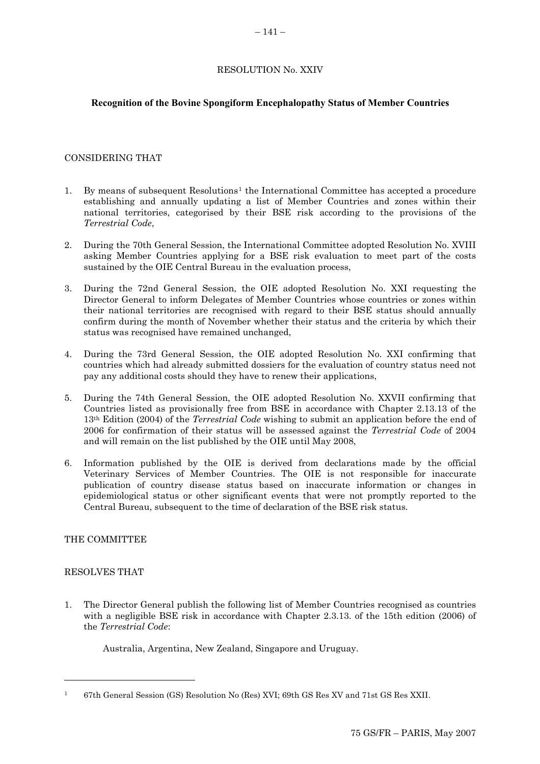### RESOLUTION No. XXIV

### <span id="page-32-0"></span>**Recognition of the Bovine Spongiform Encephalopathy Status of Member Countries**

### CONSIDERING THAT

- 1. By means of subsequent Resolutions[1](#page-32-0) the International Committee has accepted a procedure establishing and annually updating a list of Member Countries and zones within their national territories, categorised by their BSE risk according to the provisions of the *Terrestrial Code*,
- 2. During the 70th General Session, the International Committee adopted Resolution No. XVIII asking Member Countries applying for a BSE risk evaluation to meet part of the costs sustained by the OIE Central Bureau in the evaluation process,
- 3. During the 72nd General Session, the OIE adopted Resolution No. XXI requesting the Director General to inform Delegates of Member Countries whose countries or zones within their national territories are recognised with regard to their BSE status should annually confirm during the month of November whether their status and the criteria by which their status was recognised have remained unchanged,
- 4. During the 73rd General Session, the OIE adopted Resolution No. XXI confirming that countries which had already submitted dossiers for the evaluation of country status need not pay any additional costs should they have to renew their applications,
- 5. During the 74th General Session, the OIE adopted Resolution No. XXVII confirming that Countries listed as provisionally free from BSE in accordance with Chapter 2.13.13 of the 13th Edition (2004) of the *Terrestrial Code* wishing to submit an application before the end of 2006 for confirmation of their status will be assessed against the *Terrestrial Code* of 2004 and will remain on the list published by the OIE until May 2008,
- 6. Information published by the OIE is derived from declarations made by the official Veterinary Services of Member Countries. The OIE is not responsible for inaccurate publication of country disease status based on inaccurate information or changes in epidemiological status or other significant events that were not promptly reported to the Central Bureau, subsequent to the time of declaration of the BSE risk status.

### THE COMMITTEE

#### RESOLVES THAT

l

1. The Director General publish the following list of Member Countries recognised as countries with a negligible BSE risk in accordance with Chapter 2.3.13. of the 15th edition (2006) of the *Terrestrial Code*:

Australia, Argentina, New Zealand, Singapore and Uruguay.

<sup>1 67</sup>th General Session (GS) Resolution No (Res) XVI; 69th GS Res XV and 71st GS Res XXII.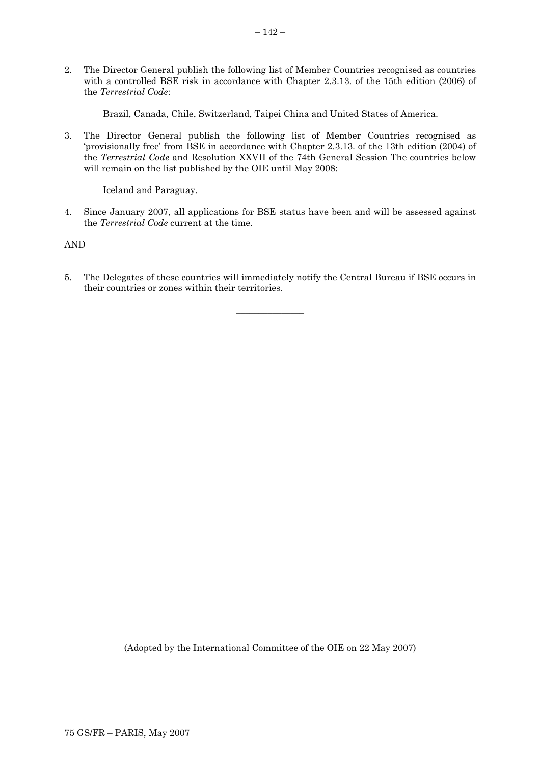2. The Director General publish the following list of Member Countries recognised as countries with a controlled BSE risk in accordance with Chapter 2.3.13. of the 15th edition (2006) of the *Terrestrial Code*:

Brazil, Canada, Chile, Switzerland, Taipei China and United States of America.

3. The Director General publish the following list of Member Countries recognised as 'provisionally free' from BSE in accordance with Chapter 2.3.13. of the 13th edition (2004) of the *Terrestrial Code* and Resolution XXVII of the 74th General Session The countries below will remain on the list published by the OIE until May 2008:

Iceland and Paraguay.

4. Since January 2007, all applications for BSE status have been and will be assessed against the *Terrestrial Code* current at the time.

AND

5. The Delegates of these countries will immediately notify the Central Bureau if BSE occurs in their countries or zones within their territories.

 $\overline{\phantom{a}}$  , where the contract of  $\overline{\phantom{a}}$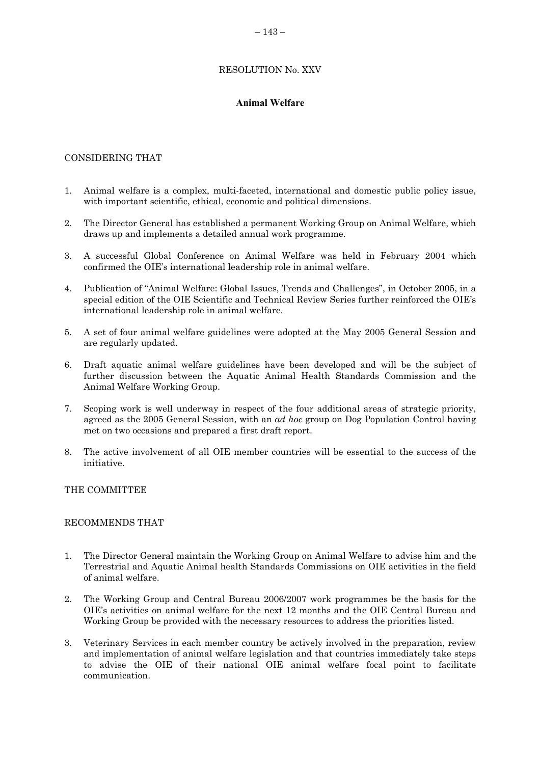# RESOLUTION No. XXV

# **Animal Welfare**

# <span id="page-34-0"></span>CONSIDERING THAT

- 1. Animal welfare is a complex, multi-faceted, international and domestic public policy issue, with important scientific, ethical, economic and political dimensions.
- 2. The Director General has established a permanent Working Group on Animal Welfare, which draws up and implements a detailed annual work programme.
- 3. A successful Global Conference on Animal Welfare was held in February 2004 which confirmed the OIE's international leadership role in animal welfare.
- 4. Publication of "Animal Welfare: Global Issues, Trends and Challenges", in October 2005, in a special edition of the OIE Scientific and Technical Review Series further reinforced the OIE's international leadership role in animal welfare.
- 5. A set of four animal welfare guidelines were adopted at the May 2005 General Session and are regularly updated.
- 6. Draft aquatic animal welfare guidelines have been developed and will be the subject of further discussion between the Aquatic Animal Health Standards Commission and the Animal Welfare Working Group.
- 7. Scoping work is well underway in respect of the four additional areas of strategic priority, agreed as the 2005 General Session, with an *ad hoc* group on Dog Population Control having met on two occasions and prepared a first draft report.
- 8. The active involvement of all OIE member countries will be essential to the success of the initiative.

#### THE COMMITTEE

#### RECOMMENDS THAT

- 1. The Director General maintain the Working Group on Animal Welfare to advise him and the Terrestrial and Aquatic Animal health Standards Commissions on OIE activities in the field of animal welfare.
- 2. The Working Group and Central Bureau 2006/2007 work programmes be the basis for the OIE's activities on animal welfare for the next 12 months and the OIE Central Bureau and Working Group be provided with the necessary resources to address the priorities listed.
- 3. Veterinary Services in each member country be actively involved in the preparation, review and implementation of animal welfare legislation and that countries immediately take steps to advise the OIE of their national OIE animal welfare focal point to facilitate communication.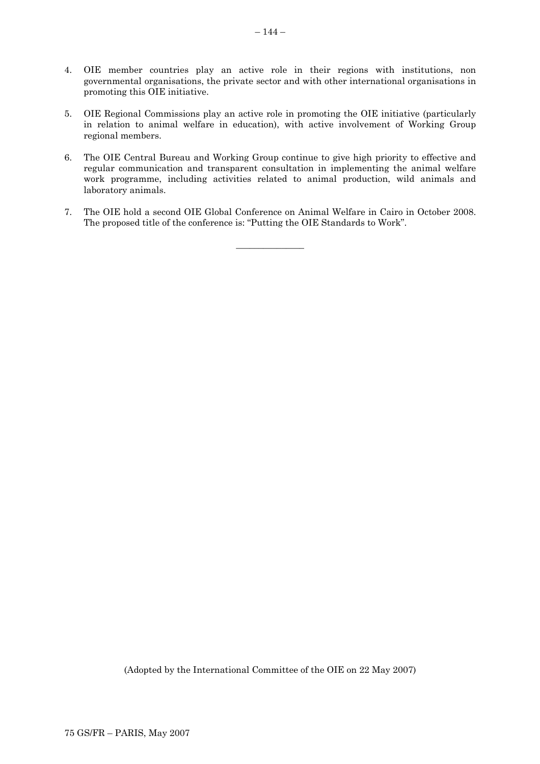- 4. OIE member countries play an active role in their regions with institutions, non governmental organisations, the private sector and with other international organisations in promoting this OIE initiative.
- 5. OIE Regional Commissions play an active role in promoting the OIE initiative (particularly in relation to animal welfare in education), with active involvement of Working Group regional members.
- 6. The OIE Central Bureau and Working Group continue to give high priority to effective and regular communication and transparent consultation in implementing the animal welfare work programme, including activities related to animal production, wild animals and laboratory animals.
- 7. The OIE hold a second OIE Global Conference on Animal Welfare in Cairo in October 2008. The proposed title of the conference is: "Putting the OIE Standards to Work".

 $\overline{\phantom{a}}$  , where the contract of  $\overline{\phantom{a}}$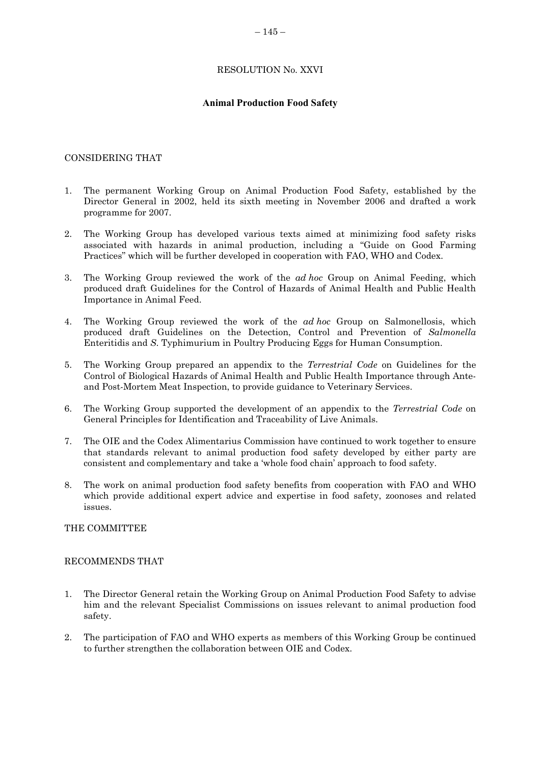### RESOLUTION No. XXVI

### **Animal Production Food Safety**

### <span id="page-36-0"></span>CONSIDERING THAT

- 1. The permanent Working Group on Animal Production Food Safety, established by the Director General in 2002, held its sixth meeting in November 2006 and drafted a work programme for 2007.
- 2. The Working Group has developed various texts aimed at minimizing food safety risks associated with hazards in animal production, including a "Guide on Good Farming Practices" which will be further developed in cooperation with FAO, WHO and Codex.
- 3. The Working Group reviewed the work of the *ad hoc* Group on Animal Feeding, which produced draft Guidelines for the Control of Hazards of Animal Health and Public Health Importance in Animal Feed.
- 4. The Working Group reviewed the work of the *ad hoc* Group on Salmonellosis, which produced draft Guidelines on the Detection, Control and Prevention of *Salmonella* Enteritidis and *S*. Typhimurium in Poultry Producing Eggs for Human Consumption.
- 5. The Working Group prepared an appendix to the *Terrestrial Code* on Guidelines for the Control of Biological Hazards of Animal Health and Public Health Importance through Anteand Post-Mortem Meat Inspection, to provide guidance to Veterinary Services.
- 6. The Working Group supported the development of an appendix to the *Terrestrial Code* on General Principles for Identification and Traceability of Live Animals.
- 7. The OIE and the Codex Alimentarius Commission have continued to work together to ensure that standards relevant to animal production food safety developed by either party are consistent and complementary and take a 'whole food chain' approach to food safety.
- 8. The work on animal production food safety benefits from cooperation with FAO and WHO which provide additional expert advice and expertise in food safety, zoonoses and related issues.

#### THE COMMITTEE

### RECOMMENDS THAT

- 1. The Director General retain the Working Group on Animal Production Food Safety to advise him and the relevant Specialist Commissions on issues relevant to animal production food safety.
- 2. The participation of FAO and WHO experts as members of this Working Group be continued to further strengthen the collaboration between OIE and Codex.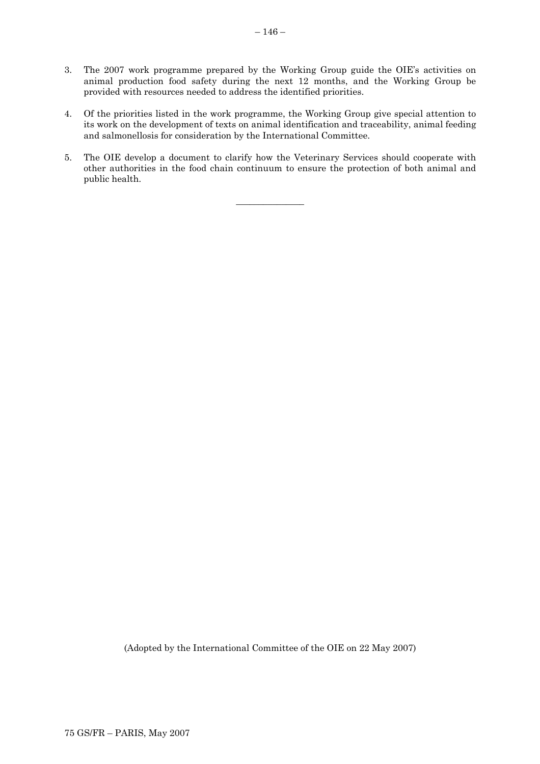- 3. The 2007 work programme prepared by the Working Group guide the OIE's activities on animal production food safety during the next 12 months, and the Working Group be provided with resources needed to address the identified priorities.
- 4. Of the priorities listed in the work programme, the Working Group give special attention to its work on the development of texts on animal identification and traceability, animal feeding and salmonellosis for consideration by the International Committee.
- 5. The OIE develop a document to clarify how the Veterinary Services should cooperate with other authorities in the food chain continuum to ensure the protection of both animal and public health.

 $\overline{\phantom{a}}$  ,  $\overline{\phantom{a}}$  ,  $\overline{\phantom{a}}$  ,  $\overline{\phantom{a}}$  ,  $\overline{\phantom{a}}$  ,  $\overline{\phantom{a}}$  ,  $\overline{\phantom{a}}$  ,  $\overline{\phantom{a}}$  ,  $\overline{\phantom{a}}$  ,  $\overline{\phantom{a}}$  ,  $\overline{\phantom{a}}$  ,  $\overline{\phantom{a}}$  ,  $\overline{\phantom{a}}$  ,  $\overline{\phantom{a}}$  ,  $\overline{\phantom{a}}$  ,  $\overline{\phantom{a}}$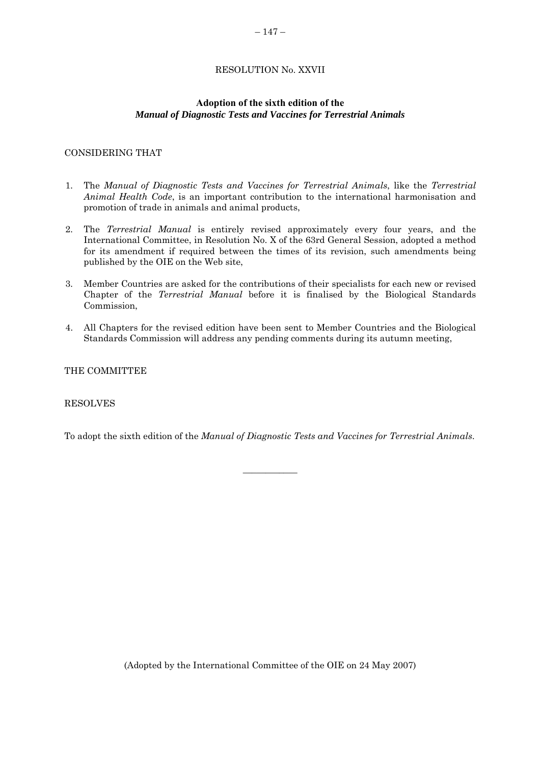# RESOLUTION No. XXVII

### **Adoption of the sixth edition of the**  *Manual of Diagnostic Tests and Vaccines for Terrestrial Animals*

### <span id="page-38-0"></span>CONSIDERING THAT

- 1. The *Manual of Diagnostic Tests and Vaccines for Terrestrial Animals*, like the *Terrestrial Animal Health Code*, is an important contribution to the international harmonisation and promotion of trade in animals and animal products,
- 2. The *Terrestrial Manual* is entirely revised approximately every four years, and the International Committee, in Resolution No. X of the 63rd General Session, adopted a method for its amendment if required between the times of its revision, such amendments being published by the OIE on the Web site,
- 3. Member Countries are asked for the contributions of their specialists for each new or revised Chapter of the *Terrestrial Manual* before it is finalised by the Biological Standards Commission,
- 4. All Chapters for the revised edition have been sent to Member Countries and the Biological Standards Commission will address any pending comments during its autumn meeting,

#### THE COMMITTEE

### RESOLVES

To adopt the sixth edition of the *Manual of Diagnostic Tests and Vaccines for Terrestrial Animals*.

 $\overline{\phantom{a}}$  , where  $\overline{\phantom{a}}$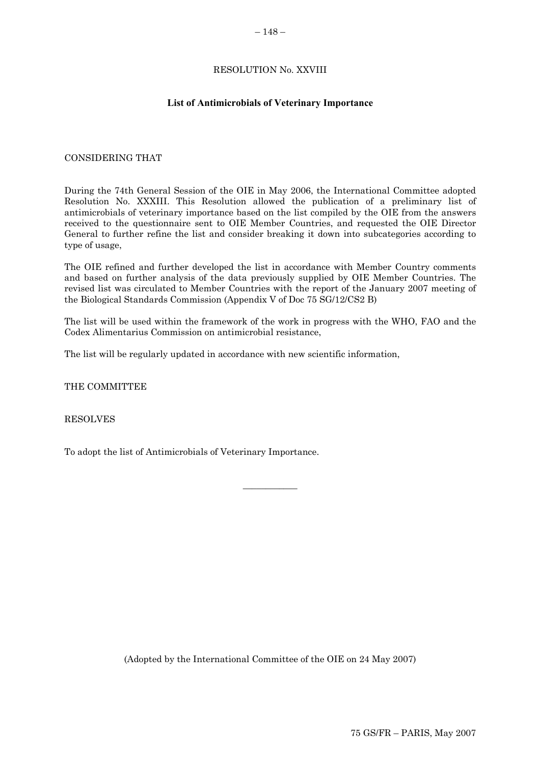### RESOLUTION No. XXVIII

### **List of Antimicrobials of Veterinary Importance**

#### <span id="page-39-0"></span>CONSIDERING THAT

During the 74th General Session of the OIE in May 2006, the International Committee adopted Resolution No. XXXIII. This Resolution allowed the publication of a preliminary list of antimicrobials of veterinary importance based on the list compiled by the OIE from the answers received to the questionnaire sent to OIE Member Countries, and requested the OIE Director General to further refine the list and consider breaking it down into subcategories according to type of usage,

The OIE refined and further developed the list in accordance with Member Country comments and based on further analysis of the data previously supplied by OIE Member Countries. The revised list was circulated to Member Countries with the report of the January 2007 meeting of the Biological Standards Commission (Appendix V of Doc 75 SG/12/CS2 B)

The list will be used within the framework of the work in progress with the WHO, FAO and the Codex Alimentarius Commission on antimicrobial resistance,

 $\overline{\phantom{a}}$ 

The list will be regularly updated in accordance with new scientific information,

THE COMMITTEE

RESOLVES

To adopt the list of Antimicrobials of Veterinary Importance.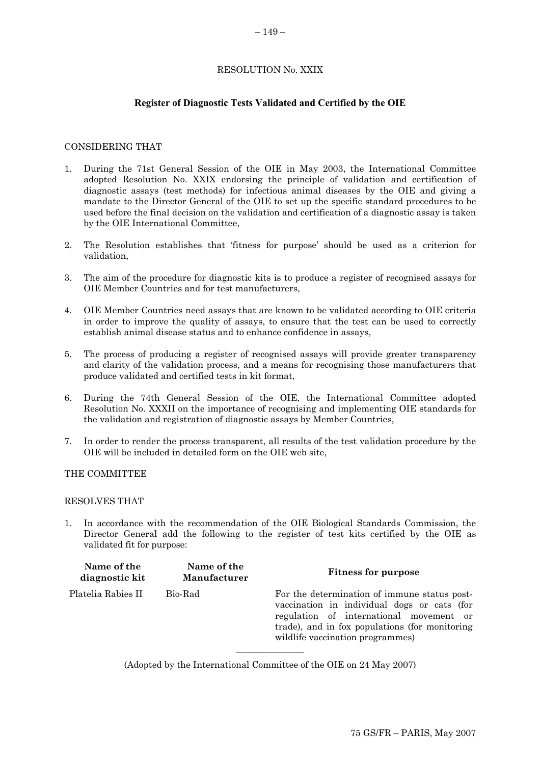#### RESOLUTION No. XXIX

#### **Register of Diagnostic Tests Validated and Certified by the OIE**

#### <span id="page-40-0"></span>CONSIDERING THAT

- 1. During the 71st General Session of the OIE in May 2003, the International Committee adopted Resolution No. XXIX endorsing the principle of validation and certification of diagnostic assays (test methods) for infectious animal diseases by the OIE and giving a mandate to the Director General of the OIE to set up the specific standard procedures to be used before the final decision on the validation and certification of a diagnostic assay is taken by the OIE International Committee,
- 2. The Resolution establishes that 'fitness for purpose' should be used as a criterion for validation,
- 3. The aim of the procedure for diagnostic kits is to produce a register of recognised assays for OIE Member Countries and for test manufacturers,
- 4. OIE Member Countries need assays that are known to be validated according to OIE criteria in order to improve the quality of assays, to ensure that the test can be used to correctly establish animal disease status and to enhance confidence in assays,
- 5. The process of producing a register of recognised assays will provide greater transparency and clarity of the validation process, and a means for recognising those manufacturers that produce validated and certified tests in kit format,
- 6. During the 74th General Session of the OIE, the International Committee adopted Resolution No. XXXII on the importance of recognising and implementing OIE standards for the validation and registration of diagnostic assays by Member Countries,
- 7. In order to render the process transparent, all results of the test validation procedure by the OIE will be included in detailed form on the OIE web site,

THE COMMITTEE

### RESOLVES THAT

1. In accordance with the recommendation of the OIE Biological Standards Commission, the Director General add the following to the register of test kits certified by the OIE as validated fit for purpose:

| Name of the<br>diagnostic kit | Name of the<br><b>Manufacturer</b> | <b>Fitness for purpose</b>                                                                                                                                                                                                   |
|-------------------------------|------------------------------------|------------------------------------------------------------------------------------------------------------------------------------------------------------------------------------------------------------------------------|
| Platelia Rabies II            | Bio-Rad                            | For the determination of immune status post-<br>vaccination in individual dogs or cats (for<br>regulation of international movement or<br>trade), and in fox populations (for monitoring<br>wildlife vaccination programmes) |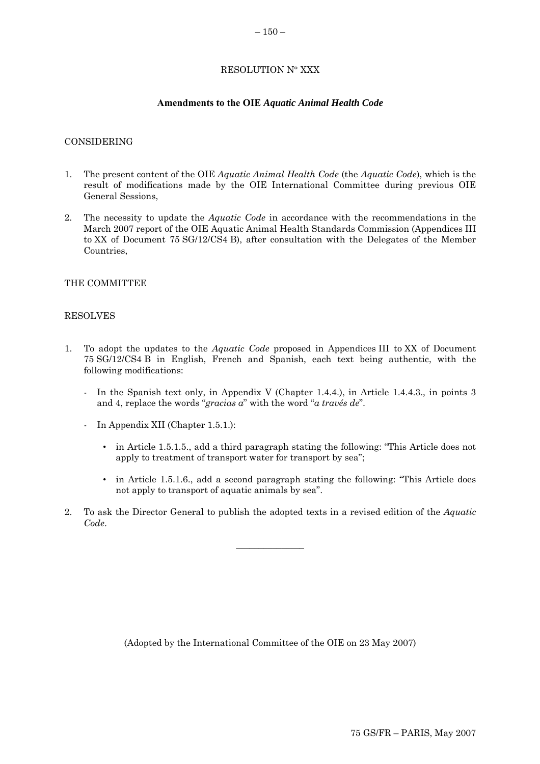### RESOLUTION N° XXX

#### **Amendments to the OIE** *Aquatic Animal Health Code*

#### <span id="page-41-0"></span>CONSIDERING

- 1. The present content of the OIE *Aquatic Animal Health Code* (the *Aquatic Code*), which is the result of modifications made by the OIE International Committee during previous OIE General Sessions,
- 2. The necessity to update the *Aquatic Code* in accordance with the recommendations in the March 2007 report of the OIE Aquatic Animal Health Standards Commission (Appendices III to XX of Document 75 SG/12/CS4 B), after consultation with the Delegates of the Member Countries,

### THE COMMITTEE

#### RESOLVES

- 1. To adopt the updates to the *Aquatic Code* proposed in Appendices III to XX of Document 75 SG/12/CS4 B in English, French and Spanish, each text being authentic, with the following modifications:
	- In the Spanish text only, in Appendix V (Chapter 1.4.4.), in Article 1.4.4.3., in points 3 and 4, replace the words "*gracias a*" with the word "*a través de*".
	- In Appendix XII (Chapter 1.5.1.):
		- in Article 1.5.1.5., add a third paragraph stating the following: "This Article does not apply to treatment of transport water for transport by sea";
		- in Article 1.5.1.6., add a second paragraph stating the following: "This Article does not apply to transport of aquatic animals by sea".
- 2. To ask the Director General to publish the adopted texts in a revised edition of the *Aquatic Code*.

 $\overline{\phantom{a}}$  , where  $\overline{\phantom{a}}$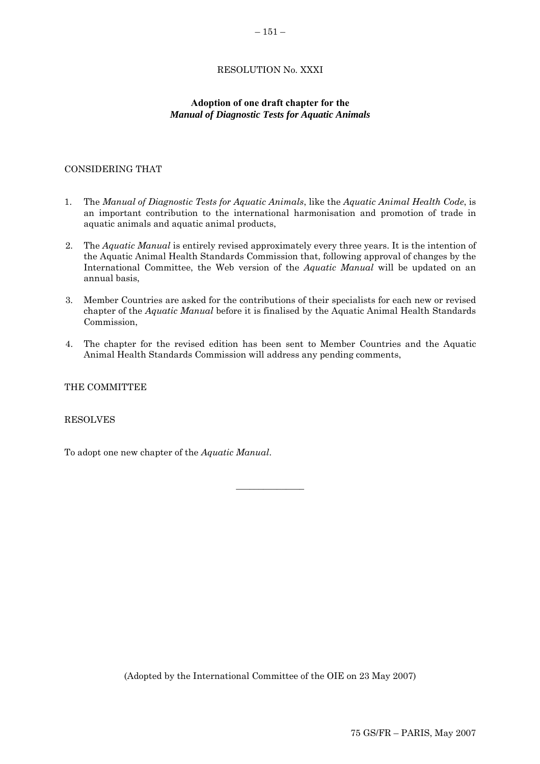# RESOLUTION No. XXXI

### **Adoption of one draft chapter for the**  *Manual of Diagnostic Tests for Aquatic Animals*

### <span id="page-42-0"></span>CONSIDERING THAT

- 1. The *Manual of Diagnostic Tests for Aquatic Animals*, like the *Aquatic Animal Health Code*, is an important contribution to the international harmonisation and promotion of trade in aquatic animals and aquatic animal products,
- 2. The *Aquatic Manual* is entirely revised approximately every three years. It is the intention of the Aquatic Animal Health Standards Commission that, following approval of changes by the International Committee, the Web version of the *Aquatic Manual* will be updated on an annual basis,
- 3. Member Countries are asked for the contributions of their specialists for each new or revised chapter of the *Aquatic Manual* before it is finalised by the Aquatic Animal Health Standards Commission,
- 4. The chapter for the revised edition has been sent to Member Countries and the Aquatic Animal Health Standards Commission will address any pending comments,

 $\overline{\phantom{a}}$  , where the contract of  $\overline{\phantom{a}}$ 

THE COMMITTEE

RESOLVES

To adopt one new chapter of the *Aquatic Manual*.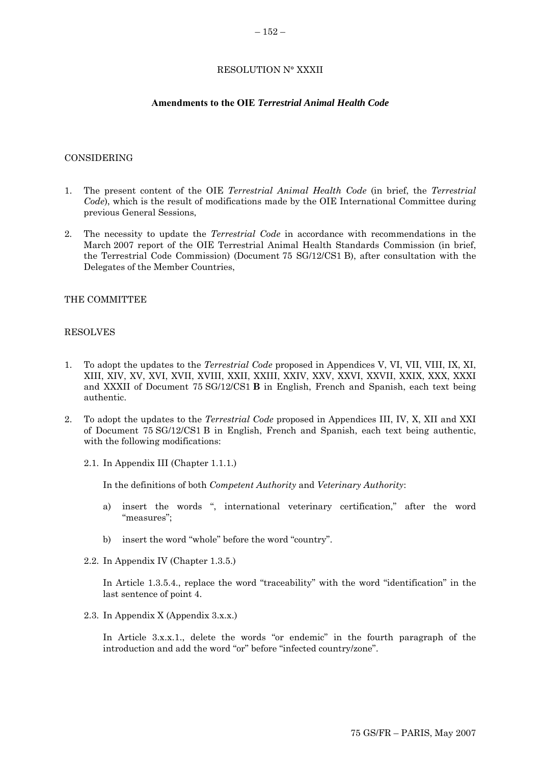#### RESOLUTION N° XXXII

#### **Amendments to the OIE** *Terrestrial Animal Health Code*

#### <span id="page-43-0"></span>CONSIDERING

- 1. The present content of the OIE *Terrestrial Animal Health Code* (in brief, the *Terrestrial Code*), which is the result of modifications made by the OIE International Committee during previous General Sessions,
- 2. The necessity to update the *Terrestrial Code* in accordance with recommendations in the March 2007 report of the OIE Terrestrial Animal Health Standards Commission (in brief, the Terrestrial Code Commission) (Document 75 SG/12/CS1 B), after consultation with the Delegates of the Member Countries,

#### THE COMMITTEE

#### RESOLVES

- 1. To adopt the updates to the *Terrestrial Code* proposed in Appendices V, VI, VII, VIII, IX, XI, XIII, XIV, XV, XVI, XVII, XVIII, XXII, XXIII, XXIV, XXV, XXVI, XXVII, XXIX, XXX, XXXI and XXXII of Document 75 SG/12/CS1 **B** in English, French and Spanish, each text being authentic.
- 2. To adopt the updates to the *Terrestrial Code* proposed in Appendices III, IV, X, XII and XXI of Document 75 SG/12/CS1 B in English, French and Spanish, each text being authentic, with the following modifications:
	- 2.1. In Appendix III (Chapter 1.1.1.)

In the definitions of both *Competent Authority* and *Veterinary Authority*:

- a) insert the words ", international veterinary certification," after the word "measures";
- b) insert the word "whole" before the word "country".
- 2.2. In Appendix IV (Chapter 1.3.5.)

In Article 1.3.5.4., replace the word "traceability" with the word "identification" in the last sentence of point 4.

2.3. In Appendix X (Appendix 3.x.x.)

In Article 3.x.x.1., delete the words "or endemic" in the fourth paragraph of the introduction and add the word "or" before "infected country/zone".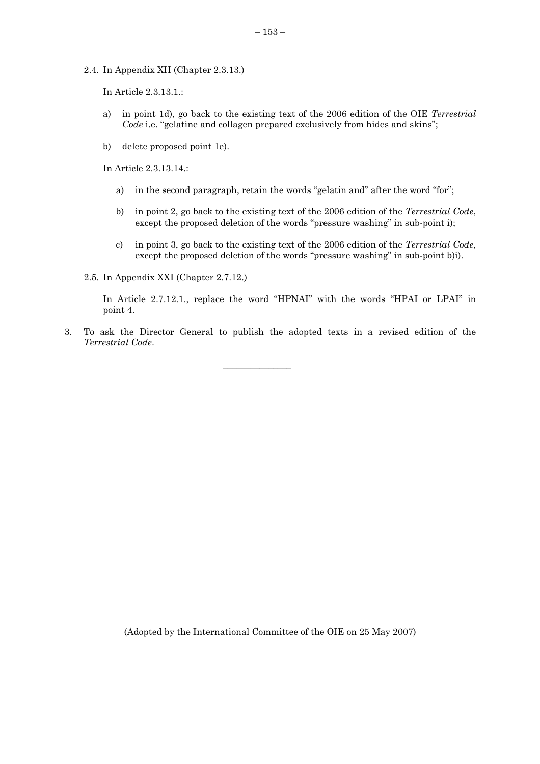2.4. In Appendix XII (Chapter 2.3.13.)

In Article 2.3.13.1.:

- a) in point 1d), go back to the existing text of the 2006 edition of the OIE *Terrestrial Code* i.e. "gelatine and collagen prepared exclusively from hides and skins";
- b) delete proposed point 1e).

In Article 2.3.13.14.:

- a) in the second paragraph, retain the words "gelatin and" after the word "for";
- b) in point 2, go back to the existing text of the 2006 edition of the *Terrestrial Code*, except the proposed deletion of the words "pressure washing" in sub-point i);
- c) in point 3, go back to the existing text of the 2006 edition of the *Terrestrial Code*, except the proposed deletion of the words "pressure washing" in sub-point b)i).

2.5. In Appendix XXI (Chapter 2.7.12.)

In Article 2.7.12.1., replace the word "HPNAI" with the words "HPAI or LPAI" in point 4.

3. To ask the Director General to publish the adopted texts in a revised edition of the *Terrestrial Code*.

 $\overline{\phantom{a}}$  , we can also the contract of  $\overline{\phantom{a}}$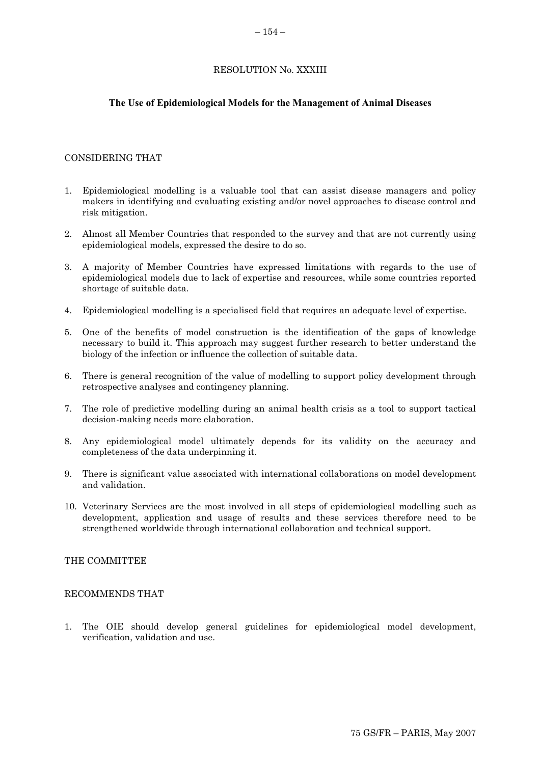### RESOLUTION No. XXXIII

### <span id="page-45-0"></span>**The Use of Epidemiological Models for the Management of Animal Diseases**

#### CONSIDERING THAT

- 1. Epidemiological modelling is a valuable tool that can assist disease managers and policy makers in identifying and evaluating existing and/or novel approaches to disease control and risk mitigation.
- 2. Almost all Member Countries that responded to the survey and that are not currently using epidemiological models, expressed the desire to do so.
- 3. A majority of Member Countries have expressed limitations with regards to the use of epidemiological models due to lack of expertise and resources, while some countries reported shortage of suitable data.
- 4. Epidemiological modelling is a specialised field that requires an adequate level of expertise.
- 5. One of the benefits of model construction is the identification of the gaps of knowledge necessary to build it. This approach may suggest further research to better understand the biology of the infection or influence the collection of suitable data.
- 6. There is general recognition of the value of modelling to support policy development through retrospective analyses and contingency planning.
- 7. The role of predictive modelling during an animal health crisis as a tool to support tactical decision-making needs more elaboration.
- 8. Any epidemiological model ultimately depends for its validity on the accuracy and completeness of the data underpinning it.
- 9. There is significant value associated with international collaborations on model development and validation.
- 10. Veterinary Services are the most involved in all steps of epidemiological modelling such as development, application and usage of results and these services therefore need to be strengthened worldwide through international collaboration and technical support.

### THE COMMITTEE

#### RECOMMENDS THAT

1. The OIE should develop general guidelines for epidemiological model development, verification, validation and use.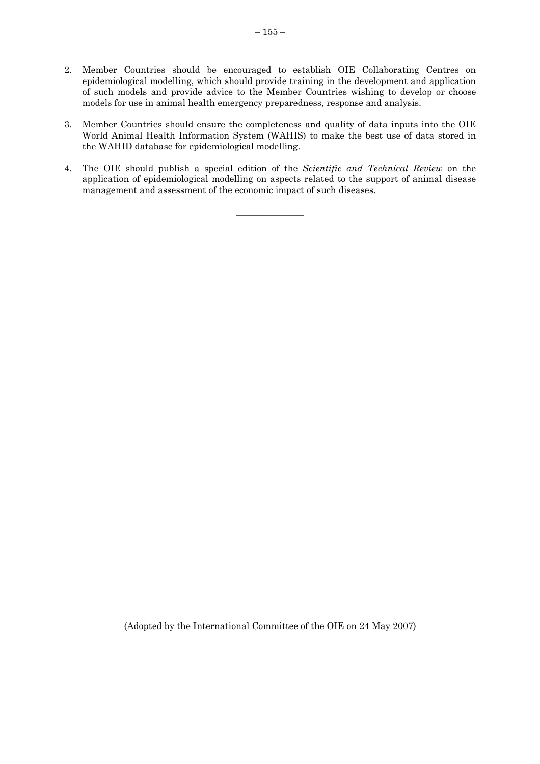- 2. Member Countries should be encouraged to establish OIE Collaborating Centres on epidemiological modelling, which should provide training in the development and application of such models and provide advice to the Member Countries wishing to develop or choose models for use in animal health emergency preparedness, response and analysis.
- 3. Member Countries should ensure the completeness and quality of data inputs into the OIE World Animal Health Information System (WAHIS) to make the best use of data stored in the WAHID database for epidemiological modelling.
- 4. The OIE should publish a special edition of the *Scientific and Technical Review* on the application of epidemiological modelling on aspects related to the support of animal disease management and assessment of the economic impact of such diseases.

 $\overline{\phantom{a}}$  ,  $\overline{\phantom{a}}$  ,  $\overline{\phantom{a}}$  ,  $\overline{\phantom{a}}$  ,  $\overline{\phantom{a}}$  ,  $\overline{\phantom{a}}$  ,  $\overline{\phantom{a}}$  ,  $\overline{\phantom{a}}$  ,  $\overline{\phantom{a}}$  ,  $\overline{\phantom{a}}$  ,  $\overline{\phantom{a}}$  ,  $\overline{\phantom{a}}$  ,  $\overline{\phantom{a}}$  ,  $\overline{\phantom{a}}$  ,  $\overline{\phantom{a}}$  ,  $\overline{\phantom{a}}$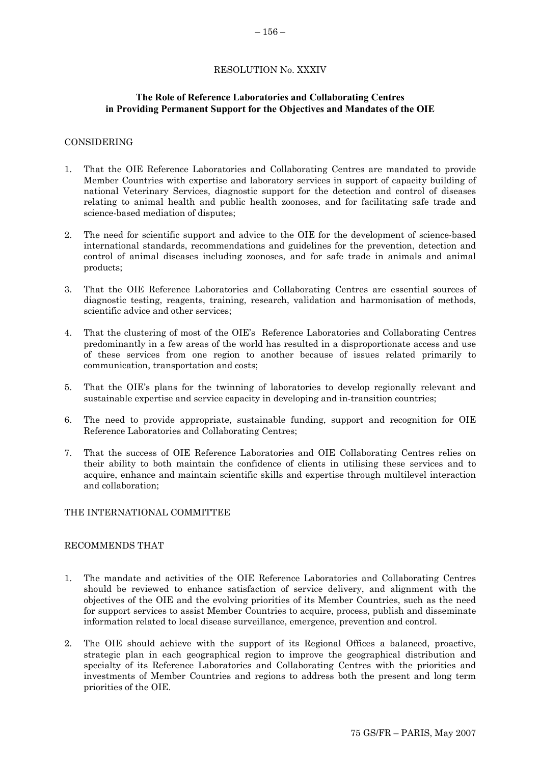#### RESOLUTION No. XXXIV

### <span id="page-47-0"></span>**The Role of Reference Laboratories and Collaborating Centres in Providing Permanent Support for the Objectives and Mandates of the OIE**

#### CONSIDERING

- 1. That the OIE Reference Laboratories and Collaborating Centres are mandated to provide Member Countries with expertise and laboratory services in support of capacity building of national Veterinary Services, diagnostic support for the detection and control of diseases relating to animal health and public health zoonoses, and for facilitating safe trade and science-based mediation of disputes;
- 2. The need for scientific support and advice to the OIE for the development of science-based international standards, recommendations and guidelines for the prevention, detection and control of animal diseases including zoonoses, and for safe trade in animals and animal products;
- 3. That the OIE Reference Laboratories and Collaborating Centres are essential sources of diagnostic testing, reagents, training, research, validation and harmonisation of methods, scientific advice and other services;
- 4. That the clustering of most of the OIE's Reference Laboratories and Collaborating Centres predominantly in a few areas of the world has resulted in a disproportionate access and use of these services from one region to another because of issues related primarily to communication, transportation and costs;
- 5. That the OIE's plans for the twinning of laboratories to develop regionally relevant and sustainable expertise and service capacity in developing and in-transition countries;
- 6. The need to provide appropriate, sustainable funding, support and recognition for OIE Reference Laboratories and Collaborating Centres;
- 7. That the success of OIE Reference Laboratories and OIE Collaborating Centres relies on their ability to both maintain the confidence of clients in utilising these services and to acquire, enhance and maintain scientific skills and expertise through multilevel interaction and collaboration;

### THE INTERNATIONAL COMMITTEE

#### RECOMMENDS THAT

- 1. The mandate and activities of the OIE Reference Laboratories and Collaborating Centres should be reviewed to enhance satisfaction of service delivery, and alignment with the objectives of the OIE and the evolving priorities of its Member Countries, such as the need for support services to assist Member Countries to acquire, process, publish and disseminate information related to local disease surveillance, emergence, prevention and control.
- 2. The OIE should achieve with the support of its Regional Offices a balanced, proactive, strategic plan in each geographical region to improve the geographical distribution and specialty of its Reference Laboratories and Collaborating Centres with the priorities and investments of Member Countries and regions to address both the present and long term priorities of the OIE.